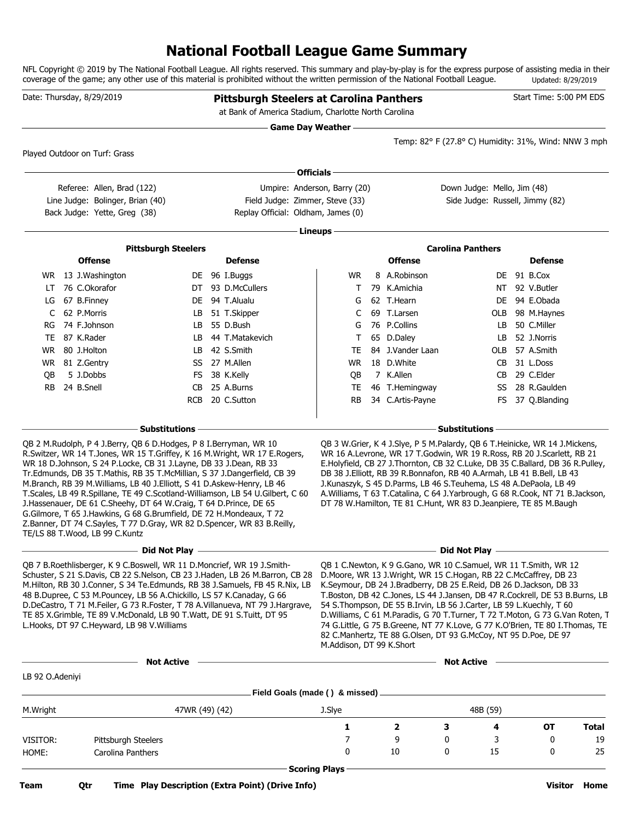### **National Football League Game Summary**

NFL Copyright © 2019 by The National Football League. All rights reserved. This summary and play-by-play is for the express purpose of assisting media in their coverage of the game; any other use of this material is prohibited without the written permission of the National Football League. Updated: 8/29/2019

|                 | Date: Thursday, 8/29/2019                                                                                                                                                                                                                                                                                                                                                                                                                                                                                                                                                                                                                                      |                            |  | <b>Pittsburgh Steelers at Carolina Panthers</b><br>at Bank of America Stadium, Charlotte North Carolina |                                                                                                                                                                                                                                                                                                                                                                                                                                                                                                                                                                                                                   |                                                                                                                                                                                                                                                                                                                                                                                                                                                                |                                                      |          | Start Time: 5:00 PM EDS                          |              |
|-----------------|----------------------------------------------------------------------------------------------------------------------------------------------------------------------------------------------------------------------------------------------------------------------------------------------------------------------------------------------------------------------------------------------------------------------------------------------------------------------------------------------------------------------------------------------------------------------------------------------------------------------------------------------------------------|----------------------------|--|---------------------------------------------------------------------------------------------------------|-------------------------------------------------------------------------------------------------------------------------------------------------------------------------------------------------------------------------------------------------------------------------------------------------------------------------------------------------------------------------------------------------------------------------------------------------------------------------------------------------------------------------------------------------------------------------------------------------------------------|----------------------------------------------------------------------------------------------------------------------------------------------------------------------------------------------------------------------------------------------------------------------------------------------------------------------------------------------------------------------------------------------------------------------------------------------------------------|------------------------------------------------------|----------|--------------------------------------------------|--------------|
|                 |                                                                                                                                                                                                                                                                                                                                                                                                                                                                                                                                                                                                                                                                |                            |  | <b>Game Day Weather --</b>                                                                              |                                                                                                                                                                                                                                                                                                                                                                                                                                                                                                                                                                                                                   |                                                                                                                                                                                                                                                                                                                                                                                                                                                                | Temp: 82° F (27.8° C) Humidity: 31%, Wind: NNW 3 mph |          |                                                  |              |
|                 | Played Outdoor on Turf: Grass                                                                                                                                                                                                                                                                                                                                                                                                                                                                                                                                                                                                                                  |                            |  |                                                                                                         |                                                                                                                                                                                                                                                                                                                                                                                                                                                                                                                                                                                                                   |                                                                                                                                                                                                                                                                                                                                                                                                                                                                |                                                      |          |                                                  |              |
|                 |                                                                                                                                                                                                                                                                                                                                                                                                                                                                                                                                                                                                                                                                |                            |  | <b>Officials</b>                                                                                        |                                                                                                                                                                                                                                                                                                                                                                                                                                                                                                                                                                                                                   |                                                                                                                                                                                                                                                                                                                                                                                                                                                                |                                                      |          |                                                  |              |
|                 | Referee: Allen, Brad (122)                                                                                                                                                                                                                                                                                                                                                                                                                                                                                                                                                                                                                                     |                            |  | Umpire: Anderson, Barry (20)                                                                            |                                                                                                                                                                                                                                                                                                                                                                                                                                                                                                                                                                                                                   |                                                                                                                                                                                                                                                                                                                                                                                                                                                                | Down Judge: Mello, Jim (48)                          |          |                                                  |              |
|                 | Line Judge: Bolinger, Brian (40)<br>Back Judge: Yette, Greg (38)                                                                                                                                                                                                                                                                                                                                                                                                                                                                                                                                                                                               |                            |  | Field Judge: Zimmer, Steve (33)<br>Replay Official: Oldham, James (0)                                   |                                                                                                                                                                                                                                                                                                                                                                                                                                                                                                                                                                                                                   |                                                                                                                                                                                                                                                                                                                                                                                                                                                                | Side Judge: Russell, Jimmy (82)                      |          |                                                  |              |
|                 |                                                                                                                                                                                                                                                                                                                                                                                                                                                                                                                                                                                                                                                                |                            |  |                                                                                                         |                                                                                                                                                                                                                                                                                                                                                                                                                                                                                                                                                                                                                   |                                                                                                                                                                                                                                                                                                                                                                                                                                                                |                                                      |          |                                                  |              |
|                 |                                                                                                                                                                                                                                                                                                                                                                                                                                                                                                                                                                                                                                                                |                            |  |                                                                                                         | Lineups -                                                                                                                                                                                                                                                                                                                                                                                                                                                                                                                                                                                                         |                                                                                                                                                                                                                                                                                                                                                                                                                                                                |                                                      |          |                                                  |              |
|                 |                                                                                                                                                                                                                                                                                                                                                                                                                                                                                                                                                                                                                                                                | <b>Pittsburgh Steelers</b> |  |                                                                                                         |                                                                                                                                                                                                                                                                                                                                                                                                                                                                                                                                                                                                                   |                                                                                                                                                                                                                                                                                                                                                                                                                                                                | <b>Carolina Panthers</b>                             |          |                                                  |              |
|                 | <b>Offense</b>                                                                                                                                                                                                                                                                                                                                                                                                                                                                                                                                                                                                                                                 |                            |  | <b>Defense</b>                                                                                          |                                                                                                                                                                                                                                                                                                                                                                                                                                                                                                                                                                                                                   | <b>Offense</b>                                                                                                                                                                                                                                                                                                                                                                                                                                                 |                                                      |          | <b>Defense</b>                                   |              |
|                 | WR 13 J.Washington<br>76 C.Okorafor                                                                                                                                                                                                                                                                                                                                                                                                                                                                                                                                                                                                                            |                            |  | DE 96 I.Buggs<br>DT 93 D.McCullers                                                                      | <b>WR</b>                                                                                                                                                                                                                                                                                                                                                                                                                                                                                                                                                                                                         | 8 A.Robinson<br>79 K.Amichia                                                                                                                                                                                                                                                                                                                                                                                                                                   |                                                      |          | DE 91 B.Cox<br>92 V.Butler                       |              |
| LT<br>LG        | 67 B.Finney                                                                                                                                                                                                                                                                                                                                                                                                                                                                                                                                                                                                                                                    |                            |  | DE 94 T.Alualu                                                                                          | Τ<br>G                                                                                                                                                                                                                                                                                                                                                                                                                                                                                                                                                                                                            | 62 T.Hearn                                                                                                                                                                                                                                                                                                                                                                                                                                                     |                                                      | NT<br>DE | 94 E.Obada                                       |              |
| C               | 62 P.Morris                                                                                                                                                                                                                                                                                                                                                                                                                                                                                                                                                                                                                                                    | LB                         |  | 51 T.Skipper                                                                                            | C                                                                                                                                                                                                                                                                                                                                                                                                                                                                                                                                                                                                                 | 69 T.Larsen                                                                                                                                                                                                                                                                                                                                                                                                                                                    |                                                      | OLB      | 98 M.Haynes                                      |              |
| RG              | 74 F.Johnson                                                                                                                                                                                                                                                                                                                                                                                                                                                                                                                                                                                                                                                   | LB                         |  | 55 D.Bush                                                                                               | G                                                                                                                                                                                                                                                                                                                                                                                                                                                                                                                                                                                                                 | 76 P.Collins                                                                                                                                                                                                                                                                                                                                                                                                                                                   |                                                      | LB.      | 50 C.Miller                                      |              |
|                 | TE 87 K.Rader                                                                                                                                                                                                                                                                                                                                                                                                                                                                                                                                                                                                                                                  | LB.                        |  | 44 T.Matakevich                                                                                         | Τ                                                                                                                                                                                                                                                                                                                                                                                                                                                                                                                                                                                                                 | 65 D.Daley                                                                                                                                                                                                                                                                                                                                                                                                                                                     |                                                      | LB       | 52 J.Norris                                      |              |
| WR.             | 80 J.Holton                                                                                                                                                                                                                                                                                                                                                                                                                                                                                                                                                                                                                                                    | LB.                        |  | 42 S.Smith                                                                                              | TE                                                                                                                                                                                                                                                                                                                                                                                                                                                                                                                                                                                                                | 84 J.Vander Laan                                                                                                                                                                                                                                                                                                                                                                                                                                               |                                                      | OLB      | 57 A.Smith                                       |              |
| WR              | 81 Z.Gentry                                                                                                                                                                                                                                                                                                                                                                                                                                                                                                                                                                                                                                                    | SS                         |  | 27 M.Allen                                                                                              | WR                                                                                                                                                                                                                                                                                                                                                                                                                                                                                                                                                                                                                | 18 D.White                                                                                                                                                                                                                                                                                                                                                                                                                                                     |                                                      | CB       | 31 L.Doss                                        |              |
| OВ              | 5 J.Dobbs                                                                                                                                                                                                                                                                                                                                                                                                                                                                                                                                                                                                                                                      | FS.                        |  | 38 K.Kelly                                                                                              | QB                                                                                                                                                                                                                                                                                                                                                                                                                                                                                                                                                                                                                | 7 K.Allen                                                                                                                                                                                                                                                                                                                                                                                                                                                      |                                                      | CB       | 29 C.Elder                                       |              |
| <b>RB</b>       | 24 B.Snell                                                                                                                                                                                                                                                                                                                                                                                                                                                                                                                                                                                                                                                     | CB                         |  | 25 A.Burns                                                                                              | TE                                                                                                                                                                                                                                                                                                                                                                                                                                                                                                                                                                                                                | 46 T.Hemingway                                                                                                                                                                                                                                                                                                                                                                                                                                                 |                                                      | SS       | 28 R.Gaulden                                     |              |
|                 |                                                                                                                                                                                                                                                                                                                                                                                                                                                                                                                                                                                                                                                                | RCB                        |  | 20 C.Sutton                                                                                             | <b>RB</b>                                                                                                                                                                                                                                                                                                                                                                                                                                                                                                                                                                                                         | 34 C.Artis-Payne                                                                                                                                                                                                                                                                                                                                                                                                                                               |                                                      | FS.      | 37 Q.Blanding                                    |              |
|                 |                                                                                                                                                                                                                                                                                                                                                                                                                                                                                                                                                                                                                                                                |                            |  |                                                                                                         |                                                                                                                                                                                                                                                                                                                                                                                                                                                                                                                                                                                                                   |                                                                                                                                                                                                                                                                                                                                                                                                                                                                |                                                      |          |                                                  |              |
|                 | QB 2 M.Rudolph, P 4 J.Berry, QB 6 D.Hodges, P 8 I.Berryman, WR 10                                                                                                                                                                                                                                                                                                                                                                                                                                                                                                                                                                                              | - Substitutions            |  |                                                                                                         |                                                                                                                                                                                                                                                                                                                                                                                                                                                                                                                                                                                                                   | QB 3 W.Grier, K 4 J.Slye, P 5 M.Palardy, QB 6 T.Heinicke, WR 14 J.Mickens,                                                                                                                                                                                                                                                                                                                                                                                     | <b>Substitutions</b>                                 |          |                                                  |              |
|                 | R. Switzer, WR 14 T. Jones, WR 15 T. Griffey, K 16 M. Wright, WR 17 E. Rogers,<br>WR 18 D.Johnson, S 24 P.Locke, CB 31 J.Layne, DB 33 J.Dean, RB 33<br>Tr. Edmunds, DB 35 T. Mathis, RB 35 T. McMillian, S 37 J. Dangerfield, CB 39<br>M.Branch, RB 39 M.Williams, LB 40 J.Elliott, S 41 D.Askew-Henry, LB 46<br>T.Scales, LB 49 R.Spillane, TE 49 C.Scotland-Williamson, LB 54 U.Gilbert, C 60<br>J. Hassenauer, DE 61 C. Sheehy, DT 64 W. Craig, T 64 D. Prince, DE 65<br>G.Gilmore, T 65 J.Hawkins, G 68 G.Brumfield, DE 72 H.Mondeaux, T 72<br>Z.Banner, DT 74 C.Sayles, T 77 D.Gray, WR 82 D.Spencer, WR 83 B.Reilly,<br>TE/LS 88 T. Wood, LB 99 C. Kuntz |                            |  |                                                                                                         |                                                                                                                                                                                                                                                                                                                                                                                                                                                                                                                                                                                                                   | WR 16 A.Levrone, WR 17 T.Godwin, WR 19 R.Ross, RB 20 J.Scarlett, RB 21<br>E.Holyfield, CB 27 J.Thornton, CB 32 C.Luke, DB 35 C.Ballard, DB 36 R.Pulley,<br>DB 38 J.Elliott, RB 39 R.Bonnafon, RB 40 A.Armah, LB 41 B.Bell, LB 43<br>J.Kunaszyk, S 45 D.Parms, LB 46 S.Teuhema, LS 48 A.DePaola, LB 49<br>A. Williams, T 63 T. Catalina, C 64 J. Yarbrough, G 68 R. Cook, NT 71 B. Jackson,<br>DT 78 W.Hamilton, TE 81 C.Hunt, WR 83 D.Jeanpiere, TE 85 M.Baugh |                                                      |          |                                                  |              |
|                 |                                                                                                                                                                                                                                                                                                                                                                                                                                                                                                                                                                                                                                                                | Did Not Play –             |  |                                                                                                         |                                                                                                                                                                                                                                                                                                                                                                                                                                                                                                                                                                                                                   |                                                                                                                                                                                                                                                                                                                                                                                                                                                                | Did Not Play -                                       |          |                                                  |              |
|                 | QB 7 B. Roethlisberger, K 9 C. Boswell, WR 11 D. Moncrief, WR 19 J. Smith-<br>Schuster, S 21 S.Davis, CB 22 S.Nelson, CB 23 J.Haden, LB 26 M.Barron, CB 28<br>M.Hilton, RB 30 J.Conner, S 34 Te.Edmunds, RB 38 J.Samuels, FB 45 R.Nix, LB<br>48 B.Dupree, C 53 M.Pouncey, LB 56 A.Chickillo, LS 57 K.Canaday, G 66<br>D.DeCastro, T 71 M.Feiler, G 73 R.Foster, T 78 A.Villanueva, NT 79 J.Hargrave,<br>TE 85 X.Grimble, TE 89 V.McDonald, LB 90 T.Watt, DE 91 S.Tuitt, DT 95<br>L.Hooks, DT 97 C.Heyward, LB 98 V.Williams                                                                                                                                    |                            |  | M.Addison, DT 99 K.Short                                                                                | QB 1 C.Newton, K 9 G.Gano, WR 10 C.Samuel, WR 11 T.Smith, WR 12<br>D.Moore, WR 13 J.Wright, WR 15 C.Hogan, RB 22 C.McCaffrey, DB 23<br>K.Seymour, DB 24 J.Bradberry, DB 25 E.Reid, DB 26 D.Jackson, DB 33<br>T. Boston, DB 42 C. Jones, LS 44 J. Jansen, DB 47 R. Cockrell, DE 53 B. Burns, LB<br>54 S. Thompson, DE 55 B. Irvin, LB 56 J. Carter, LB 59 L. Kuechly, T 60<br>D. Williams, C 61 M. Paradis, G 70 T. Turner, T 72 T. Moton, G 73 G. Van Roten, T<br>74 G.Little, G 75 B.Greene, NT 77 K.Love, G 77 K.O'Brien, TE 80 I.Thomas, TE<br>82 C.Manhertz, TE 88 G.Olsen, DT 93 G.McCoy, NT 95 D.Poe, DE 97 |                                                                                                                                                                                                                                                                                                                                                                                                                                                                |                                                      |          |                                                  |              |
|                 |                                                                                                                                                                                                                                                                                                                                                                                                                                                                                                                                                                                                                                                                | <b>Not Active</b>          |  |                                                                                                         |                                                                                                                                                                                                                                                                                                                                                                                                                                                                                                                                                                                                                   |                                                                                                                                                                                                                                                                                                                                                                                                                                                                | <b>Not Active</b>                                    |          | the control of the control of the control of the |              |
| LB 92 O.Adeniyi |                                                                                                                                                                                                                                                                                                                                                                                                                                                                                                                                                                                                                                                                |                            |  |                                                                                                         |                                                                                                                                                                                                                                                                                                                                                                                                                                                                                                                                                                                                                   |                                                                                                                                                                                                                                                                                                                                                                                                                                                                |                                                      |          |                                                  |              |
| M.Wright        |                                                                                                                                                                                                                                                                                                                                                                                                                                                                                                                                                                                                                                                                | 47WR (49) (42)             |  |                                                                                                         | J.Slye                                                                                                                                                                                                                                                                                                                                                                                                                                                                                                                                                                                                            |                                                                                                                                                                                                                                                                                                                                                                                                                                                                | 48B (59)                                             |          |                                                  |              |
|                 |                                                                                                                                                                                                                                                                                                                                                                                                                                                                                                                                                                                                                                                                |                            |  |                                                                                                         | 1                                                                                                                                                                                                                                                                                                                                                                                                                                                                                                                                                                                                                 | $\overline{\mathbf{2}}$                                                                                                                                                                                                                                                                                                                                                                                                                                        | 3                                                    | 4        | OT                                               | <b>Total</b> |
| VISITOR:        | Pittsburgh Steelers                                                                                                                                                                                                                                                                                                                                                                                                                                                                                                                                                                                                                                            |                            |  |                                                                                                         | 7                                                                                                                                                                                                                                                                                                                                                                                                                                                                                                                                                                                                                 | 9                                                                                                                                                                                                                                                                                                                                                                                                                                                              | 0                                                    | 3        | 0                                                | 19           |
| HOME:           | Carolina Panthers                                                                                                                                                                                                                                                                                                                                                                                                                                                                                                                                                                                                                                              |                            |  |                                                                                                         | 0                                                                                                                                                                                                                                                                                                                                                                                                                                                                                                                                                                                                                 | 10                                                                                                                                                                                                                                                                                                                                                                                                                                                             | 0                                                    | 15       | 0                                                | 25           |
|                 |                                                                                                                                                                                                                                                                                                                                                                                                                                                                                                                                                                                                                                                                |                            |  |                                                                                                         |                                                                                                                                                                                                                                                                                                                                                                                                                                                                                                                                                                                                                   |                                                                                                                                                                                                                                                                                                                                                                                                                                                                |                                                      |          |                                                  |              |

**Scoring Plays**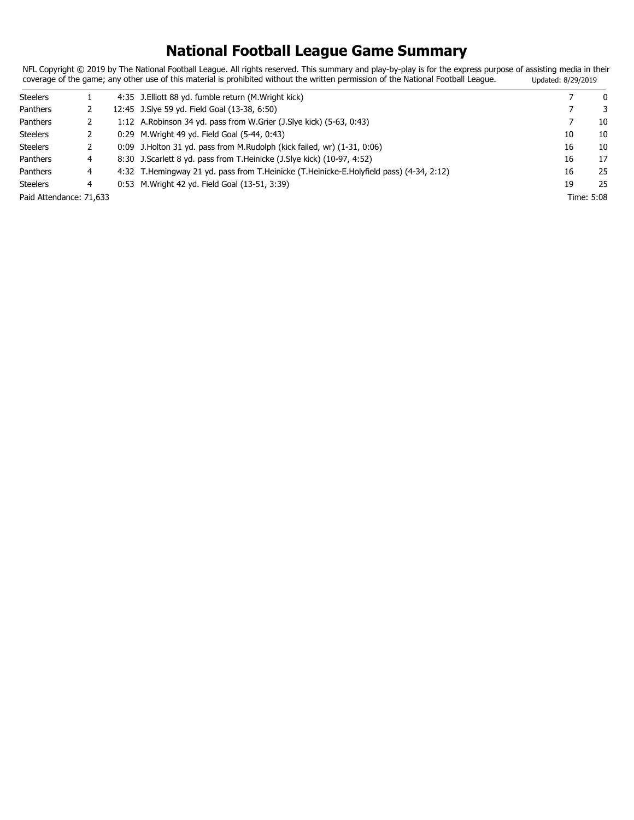## **National Football League Game Summary**

NFL Copyright © 2019 by The National Football League. All rights reserved. This summary and play-by-play is for the express purpose of assisting media in their coverage of the game; any other use of this material is prohibited without the written permission of the National Football League. Updated: 8/29/2019

| <b>Steelers</b>         |   | 4:35 J. Elliott 88 yd. fumble return (M. Wright kick)                                   |    | $\mathbf{0}$ |
|-------------------------|---|-----------------------------------------------------------------------------------------|----|--------------|
| Panthers                |   | 12:45 J. Sive 59 yd. Field Goal (13-38, 6:50)                                           |    | 3            |
| Panthers                |   | 1:12 A. Robinson 34 yd. pass from W. Grier (J. Slye kick) (5-63, 0:43)                  |    | 10           |
| <b>Steelers</b>         |   | 0:29 M. Wright 49 yd. Field Goal (5-44, 0:43)                                           | 10 | 10           |
| <b>Steelers</b>         |   | $0:09$ J. Holton 31 yd. pass from M. Rudolph (kick failed, wr) $(1-31, 0:06)$           | 16 | 10           |
| Panthers                | 4 | 8:30 J. Scarlett 8 yd. pass from T. Heinicke (J. Slye kick) (10-97, 4:52)               | 16 | 17           |
| Panthers                | 4 | 4:32 T.Hemingway 21 yd. pass from T.Heinicke (T.Heinicke-E.Holyfield pass) (4-34, 2:12) | 16 | 25           |
| <b>Steelers</b>         | 4 | 0:53 M. Wright 42 yd. Field Goal (13-51, 3:39)                                          | 19 | 25           |
| Paid Attendance: 71,633 |   |                                                                                         |    | Time: 5:08   |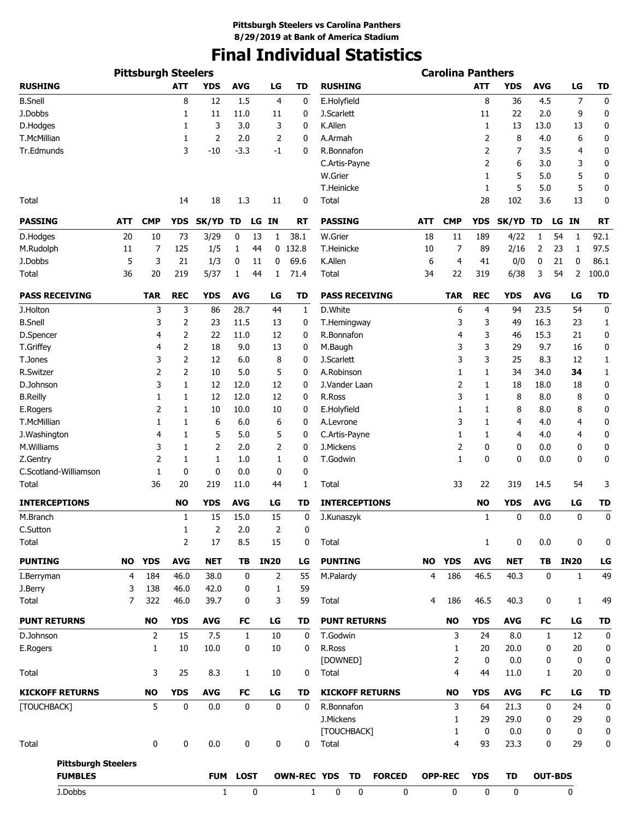# **Final Individual Statistics**

|                                              |           |                |            |            | <b>Carolina Panthers</b> |              |                |                    |                        |               |                |                |              |            |              |                |             |
|----------------------------------------------|-----------|----------------|------------|------------|--------------------------|--------------|----------------|--------------------|------------------------|---------------|----------------|----------------|--------------|------------|--------------|----------------|-------------|
| <b>RUSHING</b>                               |           |                | <b>ATT</b> | <b>YDS</b> | <b>AVG</b>               |              | LG             | <b>TD</b>          | <b>RUSHING</b>         |               |                |                | <b>ATT</b>   | <b>YDS</b> | <b>AVG</b>   | LG             | TD          |
| <b>B.Snell</b>                               |           |                | 8          | 12         | 1.5                      |              | 4              | 0                  | E.Holyfield            |               |                |                | 8            | 36         | 4.5          | 7              | 0           |
| J.Dobbs                                      |           |                | 1          | 11         | 11.0                     |              | 11             | 0                  | J.Scarlett             |               |                |                | 11           | 22         | 2.0          | 9              | 0           |
| D.Hodges                                     |           |                | 1          | 3          | 3.0                      |              | 3              | 0                  | K.Allen                |               |                |                | 1            | 13         | 13.0         | 13             | 0           |
| T.McMillian                                  |           |                | 1          | 2          | 2.0                      |              | 2              | 0                  | A.Armah                |               |                |                | 2            | 8          | 4.0          | 6              | 0           |
| Tr.Edmunds                                   |           |                | 3          | $-10$      | $-3.3$                   |              | -1             | 0                  | R.Bonnafon             |               |                |                | 2            | 7          | 3.5          | 4              | 0           |
|                                              |           |                |            |            |                          |              |                |                    | C.Artis-Payne          |               |                |                | 2            | 6          | 3.0          | 3              | 0           |
|                                              |           |                |            |            |                          |              |                |                    | W.Grier                |               |                |                | 1            | 5          | 5.0          | 5              | 0           |
|                                              |           |                |            |            |                          |              |                |                    | T.Heinicke             |               |                |                | 1            | 5          | 5.0          | 5              | 0           |
| Total                                        |           |                | 14         | 18         | 1.3                      |              | 11             | 0                  | Total                  |               |                |                | 28           | 102        | 3.6          | 13             | $\mathbf 0$ |
| <b>PASSING</b>                               | ATT       | <b>CMP</b>     | YDS        | SK/YD TD   |                          |              | LG IN          | RT                 | <b>PASSING</b>         |               | ATT            | <b>CMP</b>     | <b>YDS</b>   | SK/YD TD   |              | LG IN          | RT          |
| D.Hodges                                     | 20        | 10             | 73         | 3/29       | 0                        | 13           | 1              | 38.1               | W.Grier                |               | 18             | 11             | 189          | 4/22       | 1            | 54<br>1        | 92.1        |
| M.Rudolph                                    | 11        | 7              | 125        | 1/5        | 1                        | 44           |                | $0$ 132.8          | T.Heinicke             |               | 10             | 7              | 89           | 2/16       | 2            | 23<br>1        | 97.5        |
| J.Dobbs                                      | 5         | 3              | 21         | 1/3        | 0                        | 11           | 0              | 69.6               | K.Allen                |               | 6              | 4              | 41           | 0/0        | 0            | 21<br>0        | 86.1        |
| Total                                        | 36        | 20             | 219        | 5/37       | 1                        | 44           | 1              | 71.4               | Total                  |               | 34             | 22             | 319          | 6/38       | 3            | 54<br>2        | 100.0       |
| <b>PASS RECEIVING</b>                        |           | <b>TAR</b>     | <b>REC</b> | <b>YDS</b> | <b>AVG</b>               |              | LG             | TD                 | <b>PASS RECEIVING</b>  |               |                | TAR            | <b>REC</b>   | <b>YDS</b> | <b>AVG</b>   | LG             | TD          |
| J.Holton                                     |           | 3              | 3          | 86         | 28.7                     |              | 44             |                    | D.White                |               |                |                |              | 94         | 23.5         | 54             | $\mathbf 0$ |
|                                              |           |                |            |            |                          |              |                | 1                  |                        |               |                | 6              | 4            |            |              |                |             |
| <b>B.Snell</b>                               |           | 3              | 2          | 23         | 11.5                     |              | 13             | 0                  | T.Hemingway            |               |                | 3              | 3            | 49         | 16.3         | 23             | 1           |
| D.Spencer                                    |           | 4              | 2          | 22         | 11.0                     |              | 12             | 0                  | R.Bonnafon             |               |                | 4              | 3            | 46         | 15.3         | 21             | 0           |
| T.Griffey                                    |           | 4              | 2          | 18         | 9.0                      |              | 13             | 0                  | M.Baugh                |               |                | 3              | 3            | 29         | 9.7          | 16             | 0           |
| T.Jones                                      |           | 3              | 2          | 12         | 6.0                      |              | 8              | 0                  | J.Scarlett             |               |                | 3              | 3            | 25         | 8.3          | 12             | 1           |
| R.Switzer                                    |           | 2              | 2          | 10         | 5.0                      |              | 5              | 0                  | A.Robinson             |               |                | 1              | 1            | 34         | 34.0         | 34             | 1           |
| D.Johnson                                    |           | 3              | 1          | 12         | 12.0                     |              | 12             | 0                  | J.Vander Laan          |               |                | 2              | 1            | 18         | 18.0         | 18             | 0           |
| <b>B.Reilly</b>                              |           | 1              | 1          | 12         | 12.0                     |              | 12             | 0                  | R.Ross                 |               |                | 3              | $\mathbf{1}$ | 8          | 8.0          | 8              | 0           |
| E.Rogers                                     |           | 2              | 1          | 10         | 10.0                     |              | 10             | 0                  | E.Holyfield            |               |                | 1              | 1            | 8          | 8.0          | 8              | 0           |
| T.McMillian                                  |           | 1              | 1          | 6          | 6.0                      |              | 6              | 0                  | A.Levrone              |               |                | 3              | 1            | 4          | 4.0          | 4              | 0           |
| J.Washington                                 |           | 4              | 1          | 5          | 5.0                      |              | 5              | 0                  | C.Artis-Payne          |               |                | 1              | 1            | 4          | 4.0          | 4              | 0           |
| M.Williams                                   |           | 3              | 1          | 2          | 2.0                      |              | 2              | 0                  | J.Mickens              |               |                | 2              | 0            | 0          | 0.0          | 0              | 0           |
| Z.Gentry                                     |           | 2              | 1          | 1          | 1.0                      |              | 1              | 0                  | T.Godwin               |               |                | 1              | $\mathbf{0}$ | 0          | 0.0          | 0              | 0           |
| C.Scotland-Williamson                        |           | 1              | 0          | 0          | 0.0                      |              | 0              | 0                  |                        |               |                |                |              |            |              |                |             |
| Total                                        |           | 36             | 20         | 219        | 11.0                     |              | 44             | 1                  | Total                  |               |                | 33             | 22           | 319        | 14.5         | 54             | 3           |
| <b>INTERCEPTIONS</b>                         |           |                | <b>NO</b>  | <b>YDS</b> | <b>AVG</b>               |              | LG             | <b>TD</b>          | <b>INTERCEPTIONS</b>   |               |                |                | <b>NO</b>    | <b>YDS</b> | <b>AVG</b>   | LG             | TD          |
| M.Branch                                     |           |                | 1          | 15         | 15.0                     |              | 15             | 0                  | J.Kunaszyk             |               |                |                | 1            | 0          | 0.0          | 0              | 0           |
| C.Sutton                                     |           |                | 1          | 2          | 2.0                      |              | 2              | 0                  |                        |               |                |                |              |            |              |                |             |
| Total                                        |           |                | 2          | 17         | 8.5                      |              | 15             | 0                  | Total                  |               |                |                | $\mathbf{1}$ | 0          | 0.0          | 0              | 0           |
| <b>PUNTING</b>                               | <b>NO</b> | <b>YDS</b>     | <b>AVG</b> | <b>NET</b> | TB                       |              | <b>IN20</b>    | LG                 | <b>PUNTING</b>         |               | <b>NO</b>      | <b>YDS</b>     | <b>AVG</b>   | <b>NET</b> | TB           | <b>IN20</b>    | LG          |
| I.Berryman                                   | 4         | 184            | 46.0       | 38.0       | $\mathbf 0$              |              | $\overline{2}$ | 55                 | M.Palardy              |               | $\overline{4}$ | 186            | 46.5         | 40.3       | 0            | $\mathbf{1}$   | 49          |
| J.Berry                                      | 3         | 138            | 46.0       | 42.0       |                          | 0            | $\mathbf{1}$   | 59                 |                        |               |                |                |              |            |              |                |             |
| Total                                        | 7         | 322            | 46.0       | 39.7       |                          | 0            | 3              | 59                 | Total                  |               | 4              | 186            | 46.5         | 40.3       | 0            | $\mathbf{1}$   | 49          |
| <b>PUNT RETURNS</b>                          |           | <b>NO</b>      | <b>YDS</b> | <b>AVG</b> | FC                       |              | LG             | <b>TD</b>          | <b>PUNT RETURNS</b>    |               |                | <b>NO</b>      | <b>YDS</b>   | <b>AVG</b> | FC           | LG             | TD          |
| D.Johnson                                    |           | $\overline{2}$ | 15         | 7.5        |                          | $\mathbf{1}$ | 10             | 0                  | T.Godwin               |               |                | 3              | 24           | 8.0        | $\mathbf{1}$ | 12             | 0           |
| E.Rogers                                     |           | 1              | 10         | 10.0       |                          | 0            | 10             | 0                  | R.Ross                 |               |                | 1              | 20           | 20.0       | 0            | 20             | 0           |
|                                              |           |                |            |            |                          |              |                |                    | [DOWNED]               |               |                | 2              | $\mathbf 0$  | 0.0        | 0            | 0              | 0           |
| Total                                        |           | 3              | 25         | 8.3        |                          | 1            | 10             | 0                  | Total                  |               |                | 4              | 44           | 11.0       | 1            | 20             | 0           |
| <b>KICKOFF RETURNS</b>                       |           | <b>NO</b>      | <b>YDS</b> | <b>AVG</b> | FC                       |              | LG             | <b>TD</b>          | <b>KICKOFF RETURNS</b> |               |                | <b>NO</b>      | <b>YDS</b>   | <b>AVG</b> | FC           | LG             | TD          |
| [TOUCHBACK]                                  |           | 5              | 0          | 0.0        |                          | 0            | 0              | 0                  | R.Bonnafon             |               |                | 3              | 64           | 21.3       | 0            | 24             | 0           |
|                                              |           |                |            |            |                          |              |                |                    | J.Mickens              |               |                | 1              | 29           | 29.0       | 0            | 29             | 0           |
|                                              |           |                |            |            |                          |              |                |                    | [TOUCHBACK]            |               |                | $\mathbf{1}$   | $\mathbf 0$  | 0.0        | 0            | 0              | 0           |
| Total                                        |           | 0              | 0          | 0.0        |                          | 0            | 0              | 0                  | Total                  |               |                | 4              | 93           | 23.3       | 0            | 29             | 0           |
|                                              |           |                |            |            |                          |              |                |                    |                        |               |                |                |              |            |              |                |             |
| <b>Pittsburgh Steelers</b><br><b>FUMBLES</b> |           |                |            | <b>FUM</b> | <b>LOST</b>              |              |                | <b>OWN-REC YDS</b> | <b>TD</b>              | <b>FORCED</b> |                | <b>OPP-REC</b> | <b>YDS</b>   | <b>TD</b>  |              | <b>OUT-BDS</b> |             |
| J.Dobbs                                      |           |                |            | 1          |                          | 0            |                | 1                  | 0<br>0                 | 0             |                | $\mathbf 0$    | 0            | 0          |              | 0              |             |
|                                              |           |                |            |            |                          |              |                |                    |                        |               |                |                |              |            |              |                |             |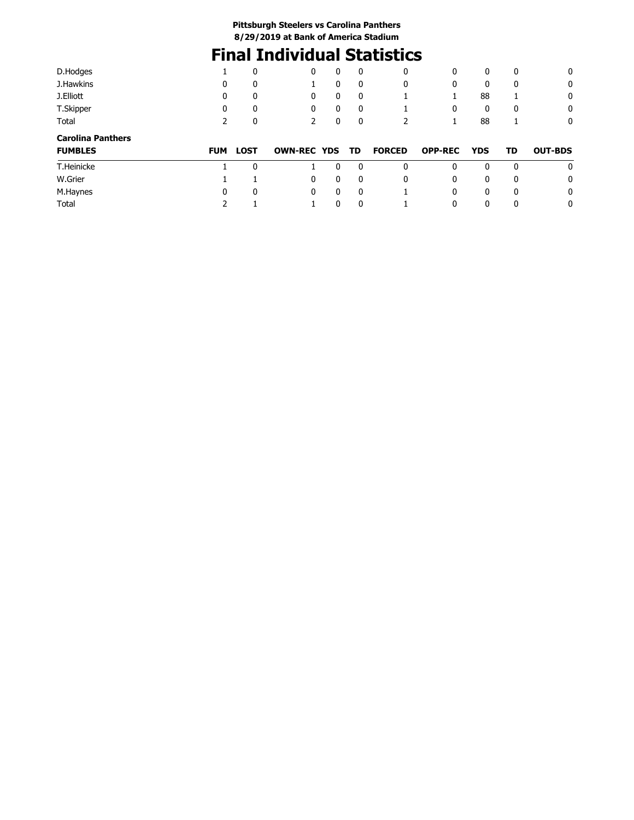# **Final Individual Statistics**

| D.Hodges                 |            | 0           | 0                  | 0 | 0            | 0             | 0              | 0          | 0            | 0              |
|--------------------------|------------|-------------|--------------------|---|--------------|---------------|----------------|------------|--------------|----------------|
| J.Hawkins                | 0          | 0           |                    | 0 | $\mathbf{0}$ | 0             | 0              | 0          | 0            | 0              |
| J.Elliott                | 0          | 0           | 0                  | 0 | 0            |               |                | 88         |              | 0              |
| T.Skipper                | 0          | 0           | 0                  | 0 | 0            |               | 0              | 0          | 0            | 0              |
| Total                    | 2          | 0           | 2                  | 0 | 0            | 2             |                | 88         | 1            | 0              |
| <b>Carolina Panthers</b> |            |             |                    |   |              |               |                |            |              |                |
| <b>FUMBLES</b>           | <b>FUM</b> | <b>LOST</b> | <b>OWN-REC YDS</b> |   | TD           | <b>FORCED</b> | <b>OPP-REC</b> | <b>YDS</b> | TD           | <b>OUT-BDS</b> |
| T.Heinicke               |            | 0           |                    | 0 | 0            | 0             | 0              | 0          | $\mathbf{0}$ | 0              |
| W.Grier                  |            |             | 0                  | 0 | 0            | 0             | 0              | 0          | 0            | 0              |
| M.Haynes                 | 0          | 0           | 0                  | 0 | $\mathbf{0}$ |               | 0              | 0          | 0            | 0              |
| Total                    |            |             |                    |   |              |               | 0              | 0          |              | 0              |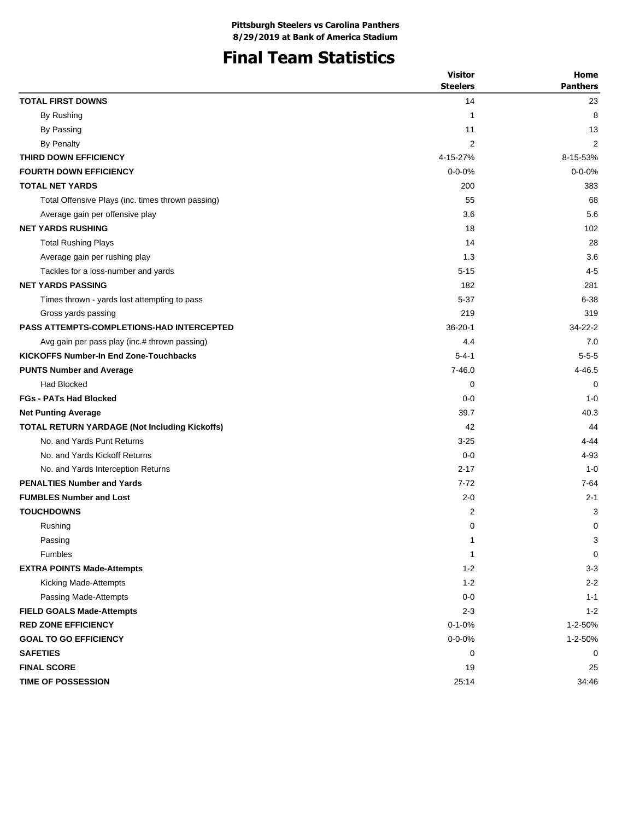## **Final Team Statistics**

|                                                   | <b>Visitor</b><br><b>Steelers</b> | Home<br><b>Panthers</b>   |
|---------------------------------------------------|-----------------------------------|---------------------------|
| <b>TOTAL FIRST DOWNS</b>                          | 14                                | 23                        |
| By Rushing                                        | 1                                 | 8                         |
| By Passing                                        | 11                                | 13                        |
| By Penalty                                        | 2                                 | 2                         |
| THIRD DOWN EFFICIENCY                             | 4-15-27%                          | 8-15-53%                  |
| <b>FOURTH DOWN EFFICIENCY</b>                     | $0 - 0 - 0%$                      | $0 - 0 - 0%$              |
| <b>TOTAL NET YARDS</b>                            | 200                               | 383                       |
| Total Offensive Plays (inc. times thrown passing) | 55                                | 68                        |
| Average gain per offensive play                   | 3.6                               | 5.6                       |
| <b>NET YARDS RUSHING</b>                          | 18                                | 102                       |
| <b>Total Rushing Plays</b>                        | 14                                | 28                        |
| Average gain per rushing play                     | 1.3                               | 3.6                       |
| Tackles for a loss-number and yards               | $5 - 15$                          | $4 - 5$                   |
| <b>NET YARDS PASSING</b>                          | 182                               | 281                       |
| Times thrown - yards lost attempting to pass      | 5-37                              | $6 - 38$                  |
| Gross yards passing                               | 219                               | 319                       |
| <b>PASS ATTEMPTS-COMPLETIONS-HAD INTERCEPTED</b>  | $36 - 20 - 1$                     | $34 - 22 - 2$             |
| Avg gain per pass play (inc.# thrown passing)     | 4.4                               | 7.0                       |
| <b>KICKOFFS Number-In End Zone-Touchbacks</b>     | $5 - 4 - 1$                       | $5 - 5 - 5$               |
| <b>PUNTS Number and Average</b>                   | $7 - 46.0$                        | 4-46.5                    |
| <b>Had Blocked</b>                                | 0                                 | 0                         |
| <b>FGs - PATs Had Blocked</b>                     | $0 - 0$                           | $1 - 0$                   |
| <b>Net Punting Average</b>                        | 39.7                              | 40.3                      |
| TOTAL RETURN YARDAGE (Not Including Kickoffs)     | 42                                | 44                        |
| No. and Yards Punt Returns                        | $3 - 25$                          | 4-44                      |
| No. and Yards Kickoff Returns                     | $0 - 0$                           | 4-93                      |
| No. and Yards Interception Returns                | $2 - 17$                          | $1 - 0$                   |
| <b>PENALTIES Number and Yards</b>                 | $7 - 72$                          | $7 - 64$                  |
| <b>FUMBLES Number and Lost</b>                    | $2 - 0$                           | $2 - 1$                   |
| <b>TOUCHDOWNS</b>                                 | $\overline{\mathbf{c}}$           | 3                         |
| Rushing                                           | 0                                 | 0                         |
| Passing                                           | $\mathbf{1}$                      | $\ensuremath{\mathsf{3}}$ |
| Fumbles                                           | $\mathbf{1}$                      | 0                         |
| <b>EXTRA POINTS Made-Attempts</b>                 | $1 - 2$                           | $3-3$                     |
| Kicking Made-Attempts                             | $1 - 2$                           | $2 - 2$                   |
| Passing Made-Attempts                             | $0-0$                             | $1 - 1$                   |
| <b>FIELD GOALS Made-Attempts</b>                  | $2 - 3$                           | $1 - 2$                   |
| <b>RED ZONE EFFICIENCY</b>                        | $0 - 1 - 0%$                      | 1-2-50%                   |
| <b>GOAL TO GO EFFICIENCY</b>                      | $0 - 0 - 0\%$                     | 1-2-50%                   |
| <b>SAFETIES</b>                                   | 0                                 | 0                         |
| <b>FINAL SCORE</b>                                | 19                                | 25                        |
| <b>TIME OF POSSESSION</b>                         | 25:14                             | 34:46                     |
|                                                   |                                   |                           |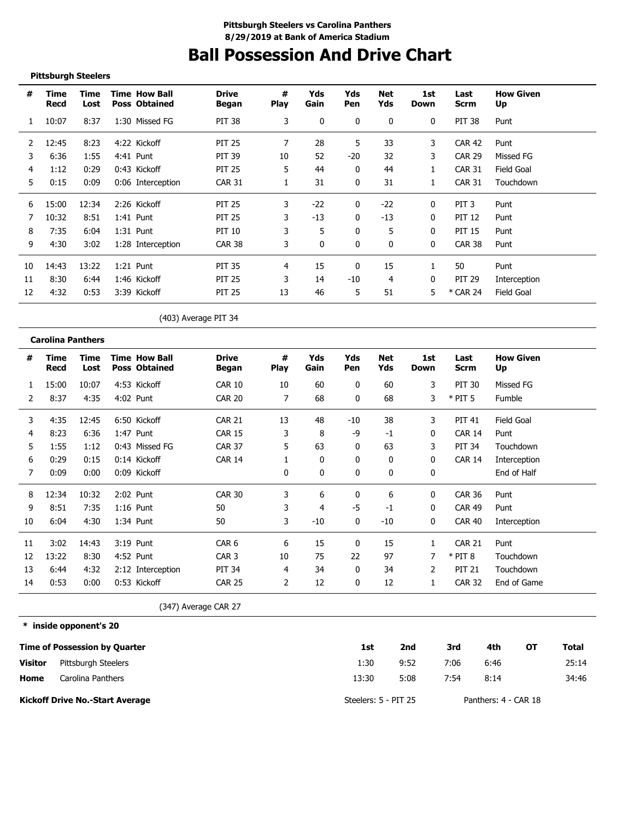# **Ball Possession And Drive Chart**

#### **Pittsburgh Steelers**

| #  | Time<br>Recd | Time<br>Lost | <b>Time How Ball</b><br><b>Poss Obtained</b> | <b>Drive</b><br>Began | #<br><b>Play</b> | Yds<br>Gain | Yds<br>Pen   | Net<br>Yds   | 1st<br>Down  | Last<br>Scrm     | <b>How Given</b><br>Up |
|----|--------------|--------------|----------------------------------------------|-----------------------|------------------|-------------|--------------|--------------|--------------|------------------|------------------------|
|    | 10:07        | 8:37         | 1:30 Missed FG                               | <b>PIT 38</b>         | 3                | $\Omega$    | $\mathbf{0}$ | $\mathbf{0}$ | 0            | <b>PIT 38</b>    | Punt                   |
| 2  | 12:45        | 8:23         | 4:22 Kickoff                                 | <b>PIT 25</b>         |                  | 28          | 5            | 33           | 3            | <b>CAR 42</b>    | Punt                   |
| 3  | 6:36         | 1:55         | 4:41 Punt                                    | <b>PIT 39</b>         | 10               | 52          | -20          | 32           | 3            | <b>CAR 29</b>    | Missed FG              |
| 4  | 1:12         | 0:29         | 0:43 Kickoff                                 | <b>PIT 25</b>         | 5.               | 44          | $\Omega$     | 44           |              | <b>CAR 31</b>    | Field Goal             |
| 5. | 0:15         | 0:09         | 0:06 Interception                            | <b>CAR 31</b>         |                  | 31          | 0            | 31           |              | <b>CAR 31</b>    | Touchdown              |
| 6  | 15:00        | 12:34        | 2:26 Kickoff                                 | <b>PIT 25</b>         | 3                | $-22$       | 0            | $-22$        | 0            | PIT <sub>3</sub> | Punt                   |
|    | 10:32        | 8:51         | $1:41$ Punt                                  | <b>PIT 25</b>         | 3                | $-13$       | 0            | $-13$        | $\Omega$     | <b>PIT 12</b>    | Punt                   |
| 8  | 7:35         | 6:04         | $1:31$ Punt                                  | PIT 10                |                  | 5           | 0            | 5            | 0            | <b>PIT 15</b>    | Punt                   |
| 9  | 4:30         | 3:02         | 1:28 Interception                            | <b>CAR 38</b>         | 3                |             | $\Omega$     | 0            | $\mathbf{0}$ | <b>CAR 38</b>    | Punt                   |
| 10 | 14:43        | 13:22        | $1:21$ Punt                                  | <b>PIT 35</b>         | 4                | 15          | 0            | 15           |              | 50               | Punt                   |
| 11 | 8:30         | 6:44         | 1:46 Kickoff                                 | <b>PIT 25</b>         | 3                | 14          | -10          | 4            | 0            | <b>PIT 29</b>    | Interception           |
| 12 | 4:32         | 0:53         | 3:39 Kickoff                                 | <b>PIT 25</b>         | 13               | 46          | 5            | 51           | 5.           | * CAR 24         | Field Goal             |

(403) Average PIT 34

#### **Carolina Panthers**

| #  | Time<br>Recd | Time<br>Lost | <b>Time How Ball</b><br><b>Poss Obtained</b> | <b>Drive</b><br>Began | #<br><b>Play</b> | Yds<br>Gain  | Yds<br>Pen   | Net<br>Yds | 1st<br>Down  | Last<br><b>Scrm</b> | <b>How Given</b><br>Up |
|----|--------------|--------------|----------------------------------------------|-----------------------|------------------|--------------|--------------|------------|--------------|---------------------|------------------------|
|    | 15:00        | 10:07        | 4:53 Kickoff                                 | <b>CAR 10</b>         | 10               | 60           | 0            | 60         | 3            | <b>PIT 30</b>       | Missed FG              |
| 2  | 8:37         | 4:35         | 4:02 Punt                                    | <b>CAR 20</b>         | 7                | 68           | $\mathbf{0}$ | 68         | 3            | $*$ PIT 5           | Fumble                 |
| 3  | 4:35         | 12:45        | 6:50 Kickoff                                 | <b>CAR 21</b>         | 13               | 48           | -10          | 38         | 3            | <b>PIT 41</b>       | Field Goal             |
| 4  | 8:23         | 6:36         | 1:47 Punt                                    | <b>CAR 15</b>         | 3                | 8            | -9           | $-1$       | 0            | <b>CAR 14</b>       | Punt                   |
| 5  | 1:55         | 1:12         | 0:43 Missed FG                               | <b>CAR 37</b>         | 5                | 63           | $\mathbf{0}$ | 63         | 3            | <b>PIT 34</b>       | Touchdown              |
| 6  | 0:29         | 0:15         | 0:14 Kickoff                                 | <b>CAR 14</b>         |                  | $\mathbf{0}$ | 0            | 0          | 0            | <b>CAR 14</b>       | Interception           |
| 7  | 0:09         | 0:00         | 0:09 Kickoff                                 |                       | 0                | 0            | 0            | 0          | 0            |                     | End of Half            |
| 8  | 12:34        | 10:32        | 2:02 Punt                                    | <b>CAR 30</b>         | 3                | 6            | 0            | 6          | 0            | <b>CAR 36</b>       | Punt                   |
| 9  | 8:51         | 7:35         | $1:16$ Punt                                  | 50                    | 3                | 4            | -5           | $-1$       | $\mathbf{0}$ | <b>CAR 49</b>       | Punt                   |
| 10 | 6:04         | 4:30         | $1:34$ Punt                                  | 50                    | 3                | $-10$        | $\mathbf{0}$ | $-10$      | 0            | CAR 40              | Interception           |
| 11 | 3:02         | 14:43        | 3:19 Punt                                    | CAR <sub>6</sub>      | 6                | 15           | 0            | 15         |              | <b>CAR 21</b>       | Punt                   |
| 12 | 13:22        | 8:30         | 4:52 Punt                                    | CAR <sub>3</sub>      | 10               | 75           | 22           | 97         |              | $*$ PIT 8           | Touchdown              |
| 13 | 6:44         | 4:32         | 2:12 Interception                            | <b>PIT 34</b>         | 4                | 34           | 0            | 34         | 2            | <b>PIT 21</b>       | Touchdown              |
| 14 | 0:53         | 0:00         | 0:53 Kickoff                                 | <b>CAR 25</b>         | 2                | 12           | 0            | 12         | 1            | <b>CAR 32</b>       | End of Game            |

(347) Average CAR 27

#### **\* inside opponent's 20**

|                | <b>Time of Possession by Quarter</b>   | 1st                  | 2nd  | 3rd  | 4th                  | ΟТ | Total |
|----------------|----------------------------------------|----------------------|------|------|----------------------|----|-------|
| <b>Visitor</b> | Pittsburgh Steelers                    | 1:30                 | 9:52 | 7:06 | 6:46                 |    | 25:14 |
| Home           | Carolina Panthers                      | 13:30                | 5:08 | 7:54 | 8:14                 |    | 34:46 |
|                | <b>Kickoff Drive No.-Start Average</b> | Steelers: 5 - PIT 25 |      |      | Panthers: 4 - CAR 18 |    |       |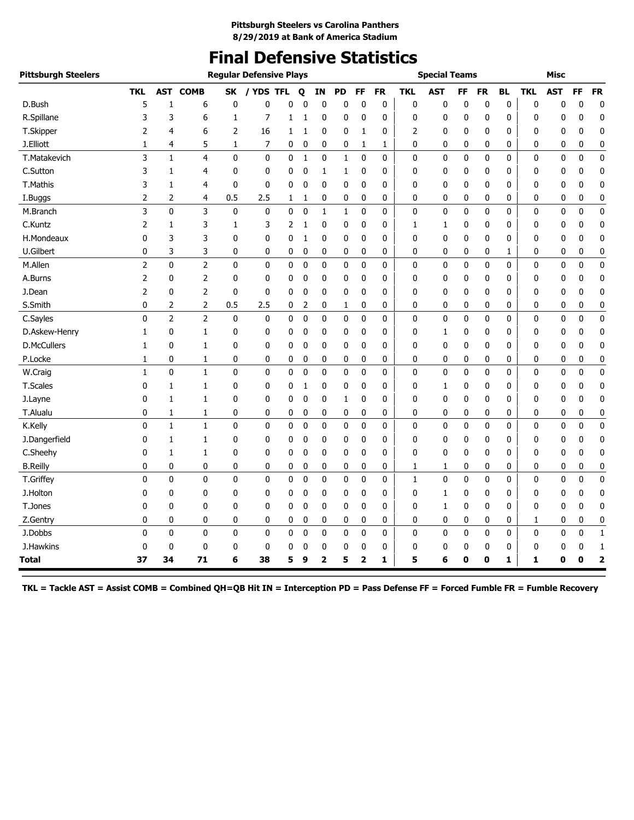# **Final Defensive Statistics**

| <b>Pittsburgh Steelers</b> |                |                |                |              | <b>Regular Defensive Plays</b> |   |              |                |              |                         |           |              | <b>Special Teams</b> |    |    |           |            | <b>Misc</b> |             |                         |
|----------------------------|----------------|----------------|----------------|--------------|--------------------------------|---|--------------|----------------|--------------|-------------------------|-----------|--------------|----------------------|----|----|-----------|------------|-------------|-------------|-------------------------|
|                            | <b>TKL</b>     | <b>AST</b>     | <b>COMB</b>    | SK           | / YDS TFL                      |   | Q            | ΙN             | <b>PD</b>    | FF                      | <b>FR</b> | <b>TKL</b>   | AST                  | FF | FR | <b>BL</b> | <b>TKL</b> | <b>AST</b>  | <b>FF</b>   | <b>FR</b>               |
| D.Bush                     | 5              | 1              | 6              | 0            | 0                              | 0 | 0            | 0              | 0            | 0                       | 0         | 0            | 0                    | 0  | 0  | 0         | 0          | 0           | 0           | $\mathbf 0$             |
| R.Spillane                 | 3              | 3              | 6              | $\mathbf{1}$ | 7                              | 1 | 1            | 0              | 0            | 0                       | 0         | 0            | 0                    | 0  | 0  | 0         | 0          | 0           | 0           | $\mathbf 0$             |
| T.Skipper                  | 2              | 4              | 6              | 2            | 16                             | 1 | 1            | 0              | 0            | 1                       | 0         | 2            | $\mathbf 0$          | 0  | 0  | 0         | 0          | 0           | 0           | $\mathbf 0$             |
| J.Elliott                  | 1              | 4              | 5              | 1            | 7                              | 0 | 0            | 0              | 0            | 1                       | 1         | 0            | 0                    | 0  | 0  | 0         | 0          | 0           | 0           | 0                       |
| T.Matakevich               | 3              | $\mathbf{1}$   | 4              | $\mathbf 0$  | 0                              | 0 | $\mathbf{1}$ | 0              | $\mathbf{1}$ | 0                       | $\pmb{0}$ | 0            | 0                    | 0  | 0  | 0         | 0          | $\mathbf 0$ | $\mathbf 0$ | $\pmb{0}$               |
| C.Sutton                   | 3              | 1              | 4              | 0            | 0                              | 0 | 0            | 1              | 1            | 0                       | 0         | $\mathbf{0}$ | 0                    | 0  | 0  | 0         | 0          | 0           | 0           | 0                       |
| T.Mathis                   | 3              | $\mathbf{1}$   | 4              | $\mathbf 0$  | 0                              | 0 | 0            | 0              | 0            | 0                       | 0         | 0            | 0                    | 0  | 0  | 0         | 0          | 0           | 0           | 0                       |
| I.Buggs                    | 2              | 2              | 4              | 0.5          | 2.5                            | 1 | 1            | 0              | 0            | 0                       | 0         | 0            | 0                    | 0  | 0  | 0         | 0          | 0           | 0           | 0                       |
| M.Branch                   | 3              | $\mathbf{0}$   | 3              | $\mathbf 0$  | $\mathbf 0$                    | 0 | $\mathbf 0$  | $\mathbf{1}$   | $\mathbf{1}$ | 0                       | 0         | 0            | $\pmb{0}$            | 0  | 0  | 0         | 0          | $\mathbf 0$ | 0           | $\pmb{0}$               |
| C.Kuntz                    | 2              | 1              | 3              | 1            | 3                              | 2 | 1            | 0              | 0            | 0                       | 0         | 1            | 1                    | 0  | 0  | 0         | 0          | 0           | 0           | $\pmb{0}$               |
| H.Mondeaux                 | 0              | 3              | 3              | $\mathbf{0}$ | 0                              | 0 | 1            | 0              | 0            | 0                       | 0         | $\mathbf{0}$ | 0                    | 0  | 0  | 0         | 0          | 0           | 0           | 0                       |
| U.Gilbert                  | 0              | 3              | 3              | 0            | 0                              | 0 | 0            | 0              | 0            | 0                       | 0         | 0            | 0                    | 0  | 0  | 1         | 0          | 0           | 0           | 0                       |
| M.Allen                    | $\overline{2}$ | $\mathbf{0}$   | $\overline{2}$ | $\mathbf 0$  | 0                              | 0 | $\mathbf 0$  | 0              | $\mathbf 0$  | 0                       | 0         | 0            | 0                    | 0  | 0  | 0         | 0          | 0           | 0           | 0                       |
| A.Burns                    | $\overline{2}$ | 0              | 2              | $\mathbf 0$  | 0                              | 0 | 0            | 0              | 0            | 0                       | 0         | 0            | 0                    | 0  | 0  | 0         | 0          | 0           | 0           | 0                       |
| J.Dean                     | 2              | 0              | 2              | $\mathbf 0$  | 0                              | 0 | 0            | 0              | 0            | 0                       | 0         | 0            | 0                    | 0  | 0  | 0         | 0          | 0           | 0           | $\mathbf 0$             |
| S.Smith                    | 0              | 2              | 2              | 0.5          | 2.5                            | 0 | 2            | 0              | 1            | 0                       | 0         | 0            | 0                    | 0  | 0  | 0         | 0          | 0           | 0           | 0                       |
| C.Sayles                   | 0              | $\overline{2}$ | $\overline{2}$ | 0            | 0                              | 0 | 0            | 0              | 0            | 0                       | 0         | 0            | 0                    | 0  | 0  | 0         | 0          | 0           | 0           | $\mathbf 0$             |
| D.Askew-Henry              | 1              | 0              | 1              | 0            | 0                              | 0 | 0            | 0              | 0            | 0                       | 0         | 0            | 1                    | 0  | 0  | 0         | 0          | 0           | 0           | 0                       |
| <b>D.McCullers</b>         | 1              | 0              | 1              | 0            | 0                              | 0 | 0            | 0              | 0            | 0                       | 0         | 0            | 0                    | 0  | 0  | 0         | 0          | 0           | 0           | 0                       |
| P.Locke                    | 1              | 0              | 1              | 0            | 0                              | 0 | 0            | 0              | 0            | 0                       | 0         | 0            | 0                    | 0  | 0  | 0         | 0          | 0           | 0           | 0                       |
| W.Craig                    | 1              | $\mathbf 0$    | $\mathbf{1}$   | $\pmb{0}$    | 0                              | 0 | 0            | 0              | 0            | 0                       | 0         | 0            | 0                    | 0  | 0  | 0         | 0          | 0           | 0           | $\pmb{0}$               |
| T.Scales                   | 0              | 1              | 1              | 0            | 0                              | 0 | 1            | 0              | 0            | 0                       | 0         | 0            | 1                    | 0  | 0  | 0         | 0          | 0           | 0           | 0                       |
| J.Layne                    | 0              | 1              | 1              | 0            | 0                              | 0 | 0            | 0              | 1            | 0                       | 0         | 0            | 0                    | 0  | 0  | 0         | 0          | 0           | 0           | 0                       |
| T.Alualu                   | 0              | 1              | 1              | 0            | 0                              | 0 | 0            | 0              | 0            | 0                       | 0         | 0            | 0                    | 0  | 0  | 0         | 0          | 0           | 0           | 0                       |
| K.Kelly                    | 0              | $\mathbf{1}$   | $\mathbf 1$    | $\mathbf 0$  | 0                              | 0 | 0            | 0              | $\mathbf 0$  | 0                       | 0         | $\mathbf 0$  | 0                    | 0  | 0  | 0         | 0          | 0           | 0           | $\pmb{0}$               |
| J.Dangerfield              | 0              | 1              | 1              | $\mathbf{0}$ | 0                              | 0 | 0            | 0              | 0            | 0                       | 0         | 0            | 0                    | 0  | 0  | 0         | 0          | 0           | 0           | 0                       |
| C.Sheehy                   | 0              | $\mathbf{1}$   | 1              | 0            | 0                              | 0 | 0            | 0              | 0            | 0                       | 0         | 0            | $\mathbf 0$          | 0  | 0  | 0         | 0          | 0           | 0           | 0                       |
| <b>B.Reilly</b>            | 0              | 0              | 0              | 0            | 0                              | 0 | 0            | 0              | 0            | 0                       | 0         | 1            | 1                    | 0  | 0  | 0         | 0          | 0           | 0           | 0                       |
| T.Griffey                  | 0              | 0              | $\mathbf 0$    | 0            | 0                              | 0 | 0            | 0              | 0            | 0                       | 0         | 1            | 0                    | 0  | 0  | 0         | 0          | 0           | 0           | $\pmb{0}$               |
| J.Holton                   | 0              | 0              | 0              | 0            | 0                              | 0 | 0            | 0              | 0            | 0                       | 0         | 0            | 1                    | 0  | 0  | 0         | 0          | 0           | 0           | 0                       |
| T.Jones                    | 0              | 0              | 0              | 0            | 0                              | 0 | 0            | 0              | 0            | 0                       | 0         | 0            | 1                    | 0  | 0  | 0         | 0          | 0           | 0           | 0                       |
| Z.Gentry                   | 0              | 0              | 0              | 0            | 0                              | 0 | 0            | 0              | 0            | 0                       | 0         | 0            | $\mathbf 0$          | 0  | 0  | 0         | 1          | 0           | 0           | 0                       |
| J.Dobbs                    | 0              | 0              | $\mathbf 0$    | $\mathbf 0$  | 0                              | 0 | 0            | 0              | 0            | 0                       | 0         | 0            | $\mathbf 0$          | 0  | 0  | 0         | 0          | 0           | 0           | $\mathbf{1}$            |
| J.Hawkins                  | 0              | 0              | 0              | 0            | 0                              | 0 | 0            | 0              | 0            | 0                       | 0         | 0            | 0                    | 0  | 0  | 0         | 0          | 0           | 0           | 1                       |
| <b>Total</b>               | 37             | 34             | 71             | 6            | 38                             | 5 | 9            | $\overline{2}$ | 5            | $\overline{\mathbf{2}}$ | 1         | 5            | 6                    | 0  | 0  | 1         | 1          | 0           | 0           | $\overline{\mathbf{2}}$ |

**TKL = Tackle AST = Assist COMB = Combined QH=QB Hit IN = Interception PD = Pass Defense FF = Forced Fumble FR = Fumble Recovery**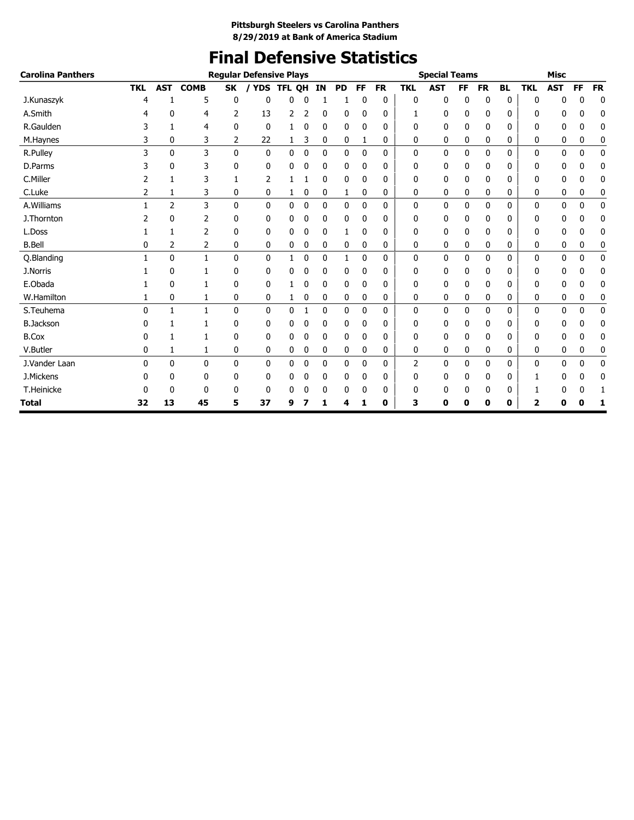# **Final Defensive Statistics**

| <b>Carolina Panthers</b> |            |                |              |              | <b>Regular Defensive Plays</b> |        |             |              |              |             |           |              | <b>Special Teams</b> |           |           |           |             | <b>Misc</b> |              |           |
|--------------------------|------------|----------------|--------------|--------------|--------------------------------|--------|-------------|--------------|--------------|-------------|-----------|--------------|----------------------|-----------|-----------|-----------|-------------|-------------|--------------|-----------|
|                          | <b>TKL</b> | <b>AST</b>     | <b>COMB</b>  | <b>SK</b>    | <b>YDS</b>                     | TFL QH |             | <b>IN</b>    | <b>PD</b>    | <b>FF</b>   | <b>FR</b> | <b>TKL</b>   | <b>AST</b>           | <b>FF</b> | <b>FR</b> | <b>BL</b> | <b>TKL</b>  | <b>AST</b>  | FF           | <b>FR</b> |
| J.Kunaszyk               |            |                | 5            | 0            | 0                              | 0      |             |              |              | 0           | 0         | 0            | 0                    | 0         | 0         | 0         | 0           | 0           | 0            | 0         |
| A.Smith                  |            | 0              | 4            | 2            | 13                             | 2      |             | 0            | 0            | 0           | 0         | 1            | 0                    | 0         | 0         | 0         | $\Omega$    | 0           | 0            | 0         |
| R.Gaulden                | 3          | 1              | 4            | 0            | 0                              |        | 0           | 0            | 0            | 0           | 0         | 0            | 0                    | 0         | 0         | 0         | 0           | 0           | 0            | 0         |
| M.Haynes                 | 3          | 0              | 3            | 2            | 22                             | 1      | 3           | 0            | 0            | 1           | 0         | 0            | 0                    | 0         | 0         | 0         | 0           | 0           | 0            | 0         |
| R.Pulley                 | 3          | $\mathbf 0$    | 3            | 0            | 0                              | 0      | $\mathbf 0$ | $\mathbf 0$  | 0            | $\mathbf 0$ | 0         | 0            | 0                    | 0         | 0         | 0         | $\mathbf 0$ | 0           | $\mathbf 0$  | 0         |
| D.Parms                  |            | 0              | 3            | 0            | 0                              | 0      | 0           | 0            | 0            | 0           | 0         | 0            | 0                    | 0         | 0         | 0         | 0           | 0           | 0            | 0         |
| C.Miller                 |            |                | 3            |              | 2                              |        |             | 0            | 0            | 0           | 0         | 0            | 0                    | 0         | 0         | 0         | 0           | 0           | 0            | 0         |
| C.Luke                   | 2          | 1              | 3            | 0            | 0                              | 1      | 0           | 0            | 1            | 0           | 0         | 0            | 0                    | 0         | 0         | 0         | 0           | 0           | 0            | 0         |
| A.Williams               |            | $\overline{2}$ | 3            | 0            | 0                              | 0      | 0           | $\mathbf{0}$ | $\mathbf{0}$ | 0           | 0         | 0            | 0                    | 0         | 0         | 0         | $\mathbf 0$ | 0           | $\mathbf{0}$ | 0         |
| J.Thornton               |            | 0              | 2            | 0            | 0                              | 0      | 0           | 0            | 0            | 0           | 0         | 0            | 0                    | 0         | 0         | 0         | 0           | 0           | 0            | 0         |
| L.Doss                   |            |                | 2            | 0            | 0                              | 0      | 0           | 0            | 1            | 0           | 0         | 0            | 0                    | 0         | 0         | 0         | 0           | 0           | 0            | 0         |
| <b>B.Bell</b>            | 0          | 2              | 2            | 0            | 0                              | 0      | 0           | 0            | 0            | 0           | 0         | 0            | 0                    | 0         | 0         | 0         | 0           | 0           | 0            | 0         |
| Q.Blanding               |            | $\mathbf{0}$   | $\mathbf{1}$ | $\mathbf{0}$ | $\mathbf{0}$                   | 1      | 0           | $\mathbf 0$  | 1            | 0           | 0         | $\mathbf{0}$ | 0                    | 0         | 0         | 0         | 0           | 0           | 0            | 0         |
| J.Norris                 |            | 0              |              | 0            | 0                              | 0      | 0           | 0            | 0            | 0           | 0         | 0            | 0                    | 0         | 0         | 0         | 0           | 0           | 0            | 0         |
| E.Obada                  |            | 0              | 1            | 0            | 0                              |        | 0           | 0            | 0            | 0           | 0         | 0            | 0                    | 0         | 0         | 0         | 0           | 0           | 0            | 0         |
| W.Hamilton               |            | $\mathbf 0$    | 1            | 0            | 0                              | 1      | 0           | 0            | 0            | 0           | 0         | 0            | 0                    | 0         | 0         | 0         | 0           | 0           | 0            | 0         |
| S.Teuhema                | $\Omega$   | $\mathbf{1}$   | $\mathbf{1}$ | 0            | 0                              | 0      | 1           | $\mathbf 0$  | $\mathbf 0$  | 0           | 0         | 0            | 0                    | 0         | 0         | 0         | $\mathbf 0$ | 0           | $\mathbf 0$  | 0         |
| <b>B.Jackson</b>         |            | 1              | 1            | 0            | 0                              | 0      | 0           | 0            | 0            | 0           | 0         | 0            | 0                    | 0         | 0         | 0         | 0           | 0           | 0            | 0         |
| <b>B.Cox</b>             | 0          |                |              | 0            | 0                              | 0      | 0           | 0            | 0            | 0           | 0         | 0            | 0                    | 0         | 0         | 0         | 0           | 0           | 0            | 0         |
| V.Butler                 | 0          | 1              | 1            | 0            | 0                              | 0      | 0           | 0            | 0            | 0           | 0         | 0            | 0                    | 0         | 0         | 0         | 0           | 0           | 0            | 0         |
| J.Vander Laan            | U          | $\mathbf{0}$   | $\mathbf{0}$ | $\mathbf{0}$ | 0                              | 0      | 0           | $\mathbf 0$  | $\mathbf{0}$ | $\mathbf 0$ | 0         | 2            | 0                    | 0         | 0         | 0         | $\mathbf 0$ | 0           | $\mathbf 0$  | 0         |
| J.Mickens                |            | 0              | 0            | 0            | 0                              | 0      | 0           | 0            | 0            | 0           | 0         | 0            | 0                    | 0         | 0         | 0         | 1           | 0           | 0            | 0         |
| T.Heinicke               |            | 0              | 0            | 0            | 0                              | 0      | 0           | 0            | 0            | 0           | 0         | 0            | 0                    | 0         | 0         | 0         |             | 0           | 0            |           |
| Total                    | 32         | 13             | 45           | 5            | 37                             | 9      |             | 1            | 4            | 1           | 0         | 3            | 0                    | Ω         | 0         | 0         | 2           | 0           | Ω            | 1         |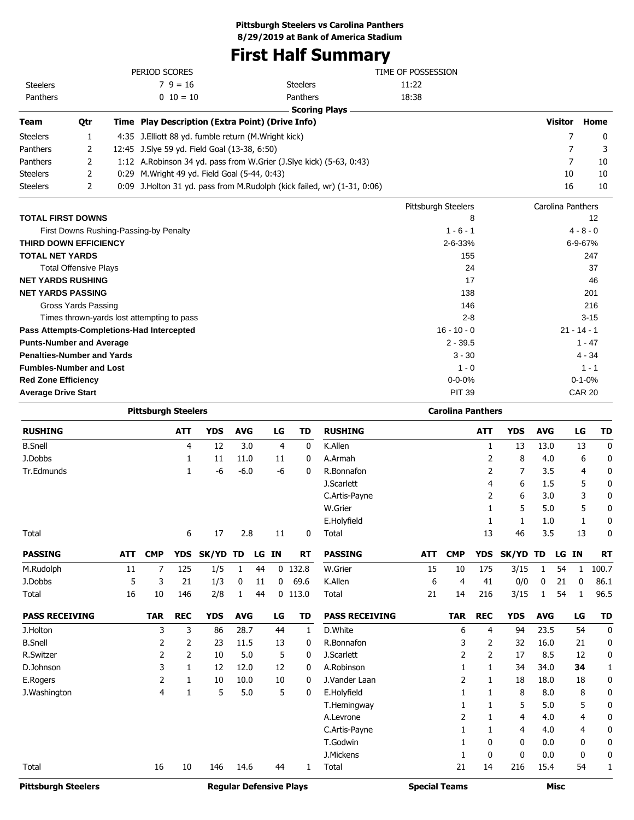# **First Half Summary**

| <b>RUSHING</b>                                         |                              | <b>YDS</b><br><b>ATT</b>                              | <b>RUSHING</b><br><b>AVG</b><br>LG<br><b>TD</b>                         | <b>ATT</b>               | <b>YDS</b><br><b>AVG</b> | LG<br>TD       |
|--------------------------------------------------------|------------------------------|-------------------------------------------------------|-------------------------------------------------------------------------|--------------------------|--------------------------|----------------|
|                                                        |                              | <b>Pittsburgh Steelers</b>                            |                                                                         | <b>Carolina Panthers</b> |                          |                |
| <b>Average Drive Start</b>                             |                              |                                                       |                                                                         | <b>PIT 39</b>            |                          | <b>CAR 20</b>  |
| <b>Red Zone Efficiency</b>                             |                              |                                                       |                                                                         | $0 - 0 - 0%$             |                          | $0 - 1 - 0%$   |
| <b>Fumbles-Number and Lost</b>                         |                              |                                                       |                                                                         | $1 - 0$                  |                          | $1 - 1$        |
| <b>Penalties-Number and Yards</b>                      |                              |                                                       |                                                                         | $3 - 30$                 |                          | $4 - 34$       |
| <b>Punts-Number and Average</b>                        |                              |                                                       |                                                                         | $2 - 39.5$               |                          | $1 - 47$       |
|                                                        |                              | Pass Attempts-Completions-Had Intercepted             |                                                                         | $16 - 10 - 0$            |                          | $21 - 14 - 1$  |
|                                                        |                              | Times thrown-yards lost attempting to pass            |                                                                         | $2 - 8$                  |                          | $3 - 15$       |
|                                                        | <b>Gross Yards Passing</b>   |                                                       |                                                                         | 146                      |                          | 216            |
| <b>NET YARDS PASSING</b>                               |                              |                                                       |                                                                         | 138                      |                          | 201            |
| <b>NET YARDS RUSHING</b>                               |                              |                                                       |                                                                         | 17                       |                          | 46             |
|                                                        | <b>Total Offensive Plays</b> |                                                       |                                                                         | 24                       |                          | 37             |
| <b>THIRD DOWN EFFICIENCY</b><br><b>TOTAL NET YARDS</b> |                              |                                                       |                                                                         | $2 - 6 - 33%$<br>155     |                          | 6-9-67%<br>247 |
|                                                        |                              | First Downs Rushing-Passing-by Penalty                |                                                                         | $1 - 6 - 1$              |                          | $4 - 8 - 0$    |
| <b>TOTAL FIRST DOWNS</b>                               |                              |                                                       |                                                                         | 8                        |                          | 12             |
|                                                        |                              |                                                       |                                                                         | Pittsburgh Steelers      | Carolina Panthers        |                |
| <b>Steelers</b>                                        | 2                            |                                                       | 0:09 J.Holton 31 yd. pass from M.Rudolph (kick failed, wr) (1-31, 0:06) |                          | 16                       | 10             |
| <b>Steelers</b>                                        | 2                            | 0:29 M. Wright 49 yd. Field Goal (5-44, 0:43)         |                                                                         |                          | 10                       | 10             |
| Panthers                                               | 2                            |                                                       | 1:12 A.Robinson 34 yd. pass from W.Grier (J.Slye kick) (5-63, 0:43)     |                          | $\overline{7}$           | 10             |
| Panthers                                               | 2                            | 12:45 J.Slye 59 yd. Field Goal (13-38, 6:50)          |                                                                         |                          | 7                        | 3              |
| <b>Steelers</b>                                        | 1                            | 4:35 J. Elliott 88 yd. fumble return (M. Wright kick) |                                                                         |                          | 7                        | 0              |
| <b>Team</b>                                            | Qtr                          | Time Play Description (Extra Point) (Drive Info)      |                                                                         |                          | <b>Visitor</b>           | Home           |
|                                                        |                              |                                                       | <b>Scoring Plays</b>                                                    |                          |                          |                |
| Panthers                                               |                              | $0\ 10=10$                                            | Panthers                                                                | 18:38                    |                          |                |
| <b>Steelers</b>                                        |                              | $79 = 16$                                             | <b>Steelers</b>                                                         | 11:22                    |                          |                |
|                                                        |                              | PERIOD SCORES                                         |                                                                         | TIME OF POSSESSION       |                          |                |

| <b>RUSHING</b>             |            |            | <b>ATT</b>   | <b>YDS</b>   | <b>AVG</b> |    | LG             | TD                             | <b>RUSHING</b>        |                      |            | <b>ATT</b>   | <b>YDS</b>   | <b>AVG</b> |             | LG | TD          |
|----------------------------|------------|------------|--------------|--------------|------------|----|----------------|--------------------------------|-----------------------|----------------------|------------|--------------|--------------|------------|-------------|----|-------------|
| <b>B.Snell</b>             |            |            | 4            | 12           | 3.0        |    | $\overline{4}$ | $\mathbf 0$                    | K.Allen               |                      |            | 1            | 13           | 13.0       |             | 13 | $\mathbf 0$ |
| J.Dobbs                    |            |            | 1            | 11           | 11.0       |    | 11             | 0                              | A.Armah               |                      |            | 2            | 8            | 4.0        |             | 6  | 0           |
| Tr.Edmunds                 |            |            | 1            | -6           | $-6.0$     |    | $-6$           | 0                              | R.Bonnafon            |                      |            | 2            | 7            | 3.5        |             | 4  | 0           |
|                            |            |            |              |              |            |    |                |                                | J.Scarlett            |                      |            | 4            | 6            | 1.5        |             | 5  | 0           |
|                            |            |            |              |              |            |    |                |                                | C.Artis-Payne         |                      |            | 2            | 6            | 3.0        |             | 3  | 0           |
|                            |            |            |              |              |            |    |                |                                | W.Grier               |                      |            | 1            | 5            | 5.0        |             | 5  | 0           |
|                            |            |            |              |              |            |    |                |                                | E.Holyfield           |                      |            | 1            | 1            | 1.0        |             | 1  | 0           |
| Total                      |            |            | 6            | 17           | 2.8        |    | 11             | 0                              | Total                 |                      |            | 13           | 46           | 3.5        |             | 13 | 0           |
| <b>PASSING</b>             | <b>ATT</b> | <b>CMP</b> | <b>YDS</b>   | <b>SK/YD</b> | <b>TD</b>  | LG | <b>IN</b>      | <b>RT</b>                      | <b>PASSING</b>        | <b>ATT</b>           | <b>CMP</b> | <b>YDS</b>   | <b>SK/YD</b> | TD         | LG IN       |    | <b>RT</b>   |
| M.Rudolph                  | 11         | 7          | 125          | 1/5          | 1          | 44 |                | $0$ 132.8                      | W.Grier               | 15                   | 10         | 175          | 3/15         | 1          | 54          | 1  | 100.7       |
| J.Dobbs                    | 5          | 3          | 21           | 1/3          | 0          | 11 | $\mathbf 0$    | 69.6                           | K.Allen               | 6                    | 4          | 41           | 0/0          | 0          | 21          | 0  | 86.1        |
| Total                      | 16         | 10         | 146          | 2/8          | 1          | 44 |                | $0$ 113.0                      | Total                 | 21                   | 14         | 216          | 3/15         | 1          | 54          | 1  | 96.5        |
| <b>PASS RECEIVING</b>      |            | <b>TAR</b> | <b>REC</b>   | <b>YDS</b>   | <b>AVG</b> |    | LG             | <b>TD</b>                      | <b>PASS RECEIVING</b> |                      | <b>TAR</b> | <b>REC</b>   | <b>YDS</b>   | <b>AVG</b> |             | LG | <b>TD</b>   |
| J.Holton                   |            | 3          | 3            | 86           | 28.7       |    | 44             | 1                              | D.White               |                      | 6          | 4            | 94           | 23.5       |             | 54 | $\mathbf 0$ |
| <b>B.Snell</b>             |            | 2          | 2            | 23           | 11.5       |    | 13             | 0                              | R.Bonnafon            |                      | 3          | 2            | 32           | 16.0       |             | 21 | 0           |
| R.Switzer                  |            | 2          | 2            | 10           | 5.0        |    | 5              | 0                              | J.Scarlett            |                      | 2          | 2            | 17           | 8.5        |             | 12 | 0           |
| D.Johnson                  |            | 3          | 1            | 12           | 12.0       |    | 12             | $\mathbf{0}$                   | A.Robinson            |                      | 1          | 1            | 34           | 34.0       |             | 34 | 1           |
| E.Rogers                   |            | 2          | 1            | 10           | 10.0       |    | 10             | 0                              | J.Vander Laan         |                      | 2          | 1            | 18           | 18.0       |             | 18 | 0           |
| J.Washington               |            | 4          | $\mathbf{1}$ | 5            | 5.0        |    | 5              | 0                              | E.Holyfield           |                      | 1          | 1            | 8            | 8.0        |             | 8  | 0           |
|                            |            |            |              |              |            |    |                |                                | T.Hemingway           |                      |            | 1            | 5            | 5.0        |             | 5  | 0           |
|                            |            |            |              |              |            |    |                |                                | A.Levrone             |                      | 2          |              | 4            | 4.0        |             | 4  | 0           |
|                            |            |            |              |              |            |    |                |                                | C.Artis-Payne         |                      | 1          | 1            | 4            | 4.0        |             | 4  | 0           |
|                            |            |            |              |              |            |    |                |                                | T.Godwin              |                      |            | 0            | 0            | 0.0        |             | 0  | $\mathbf 0$ |
|                            |            |            |              |              |            |    |                |                                | J.Mickens             |                      | 1          | $\mathbf{0}$ | $\Omega$     | 0.0        |             | 0  | 0           |
| Total                      |            | 16         | 10           | 146          | 14.6       |    | 44             | 1                              | Total                 |                      | 21         | 14           | 216          | 15.4       |             | 54 | 1           |
| <b>Pittsburgh Steelers</b> |            |            |              |              |            |    |                | <b>Regular Defensive Plays</b> |                       | <b>Special Teams</b> |            |              |              |            | <b>Misc</b> |    |             |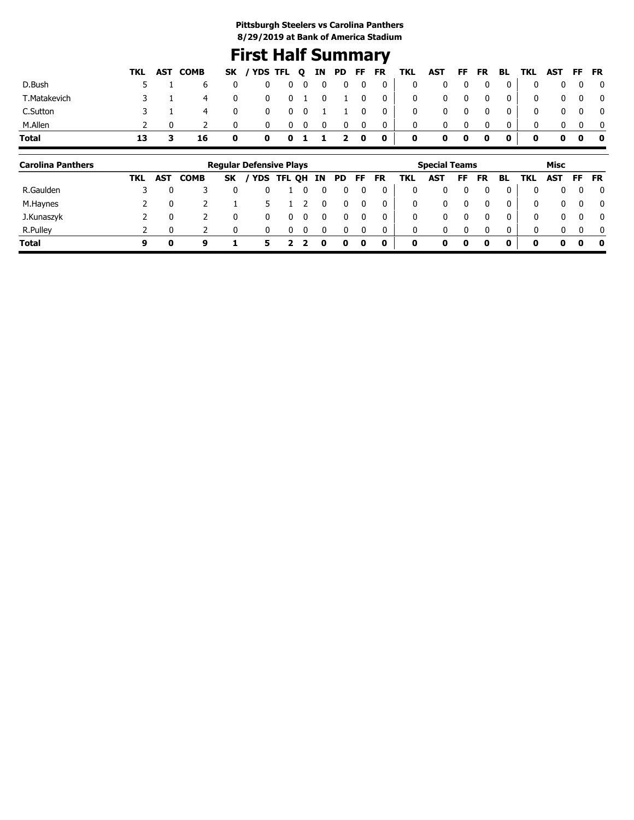# **First Half Summary**

|              |    | TKL AST COMB |              | SK / YDS TFL Q IN PD FF FR TKL AST FF FR BL TKL AST FF FR |               |              |           |            |                                                                            |                         |   |             |                         |                |                |            |                         |
|--------------|----|--------------|--------------|-----------------------------------------------------------|---------------|--------------|-----------|------------|----------------------------------------------------------------------------|-------------------------|---|-------------|-------------------------|----------------|----------------|------------|-------------------------|
| D.Bush       |    |              |              | 0                                                         |               |              |           |            | $\begin{array}{ccccccccccccccccc} & 0 & 0 & 0 & 0 & 0 & 0 & 0 \end{array}$ | $\mathbf{0}$            | 0 | 0           | $\overline{\mathbf{0}}$ | 0 <sup>1</sup> | $\mathbf{0}$   |            | $\overline{\mathbf{0}}$ |
| T.Matakevich |    | $\sim$ 4     | $\mathbf{0}$ | $\mathbf 0$                                               |               |              |           |            | 0 1 0 1 0 0                                                                | $\overline{\mathbf{0}}$ |   | $0\qquad 0$ | $\overline{\mathbf{0}}$ | $\overline{0}$ | $\mathbf{0}$   | $0\quad 0$ | $\overline{\mathbf{0}}$ |
| C.Sutton     |    | 4            | $\mathbf 0$  |                                                           | 0 0 0 1 1 0 0 |              |           |            |                                                                            | $\mathbf{0}$            |   | $0\qquad 0$ | $\overline{\mathbf{0}}$ | $\overline{0}$ | $\overline{0}$ | $0\quad 0$ | $\overline{\mathbf{0}}$ |
| M.Allen      |    |              |              | 0                                                         | $0\quad 0$    | $\mathbf{0}$ |           | $0\quad 0$ | $\overline{0}$                                                             | $\mathbf{0}$            | 0 | 0           | $\mathbf 0$             |                |                |            | $\overline{0}$          |
| Total        | 13 | 16           | $\mathbf 0$  | 0                                                         |               |              | 0 1 1 2 0 |            | $\bullet$                                                                  | $\mathbf 0$             |   | $0\quad 0$  | $\mathbf{0}$            | $\mathbf{0}$   | 0              | $0\quad 0$ | $\bullet$               |

| <b>Carolina Panthers</b> |     |            |             |           | <b>Regular Defensive Plays</b> |            |    |    |     |    |           |     | <b>Special Teams</b> |    |           |          |     | Misc         |          |              |
|--------------------------|-----|------------|-------------|-----------|--------------------------------|------------|----|----|-----|----|-----------|-----|----------------------|----|-----------|----------|-----|--------------|----------|--------------|
|                          | TKL | <b>AST</b> | <b>COMB</b> | <b>SK</b> | ' YDS                          | <b>TFL</b> | QH | IN | PD. | FF | <b>FR</b> | TKL | <b>AST</b>           | FF | <b>FR</b> | BL       | TKL | <b>AST</b>   | FF       | <b>FR</b>    |
| R.Gaulden                |     |            |             |           |                                |            |    |    |     |    |           | 0   | 0                    |    |           |          |     | 0            | 0        | $\mathbf{0}$ |
| M.Haynes                 |     |            |             |           |                                |            |    |    | 0   |    |           | 0   | 0                    |    |           | $\Omega$ | 0   | $\mathbf{0}$ | 0        | $\mathbf{0}$ |
| J.Kunaszyk               |     |            |             |           | 0                              |            |    |    |     |    |           | 0   | 0                    |    |           | $\Omega$ | 0   | 0            | $\Omega$ | $\mathbf{0}$ |
| R.Pulley                 |     |            |             |           |                                |            |    |    |     |    |           | 0   | 0                    |    |           | n        | 0   | 0            | $\Omega$ | $\mathbf{0}$ |
| <b>Total</b>             | 9   | o          | ą           |           | 5.                             |            |    | 0  | 0   | 0  | 0         | 0   | 0                    | 0  | 0         | 0        | 0   | 0            | 0        | 0            |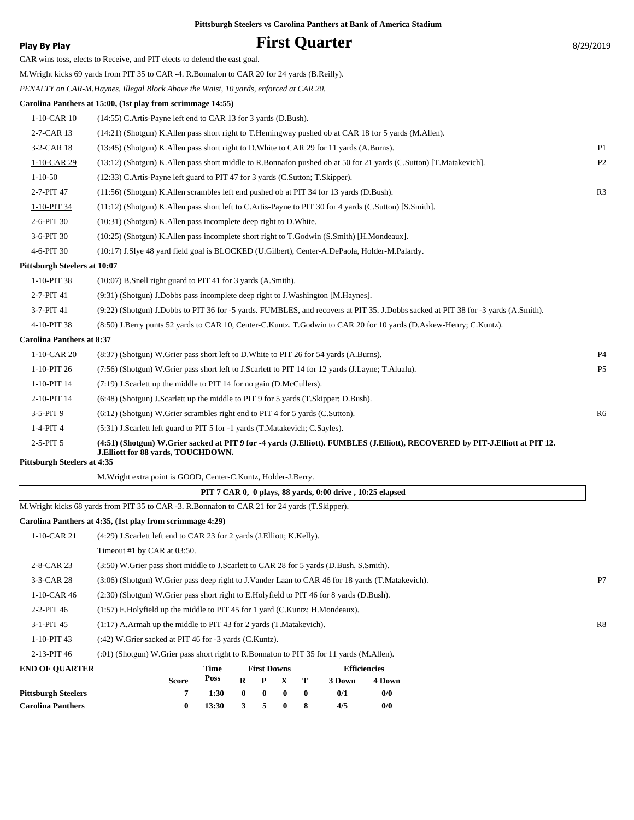**Play By Play Play Play Play By Play First Quarter** 8/29/2019 CAR wins toss, elects to Receive, and PIT elects to defend the east goal. M.Wright kicks 69 yards from PIT 35 to CAR -4. R.Bonnafon to CAR 20 for 24 yards (B.Reilly). *PENALTY on CAR-M.Haynes, Illegal Block Above the Waist, 10 yards, enforced at CAR 20.* **Carolina Panthers at 15:00, (1st play from scrimmage 14:55)** 1-10-CAR 10 (14:55) C.Artis-Payne left end to CAR 13 for 3 yards (D.Bush). 2-7-CAR 13 (14:21) (Shotgun) K.Allen pass short right to T.Hemingway pushed ob at CAR 18 for 5 yards (M.Allen). 3-2-CAR 18 (13:45) (Shotgun) K.Allen pass short right to D.White to CAR 29 for 11 yards (A.Burns). P1 1-10-CAR 29 (13:12) (Shotgun) K.Allen pass short middle to R.Bonnafon pushed ob at 50 for 21 yards (C.Sutton) [T.Matakevich]. P2 1-10-50 (12:33) C.Artis-Payne left guard to PIT 47 for 3 yards (C.Sutton; T.Skipper). 2-7-PIT 47 (11:56) (Shotgun) K.Allen scrambles left end pushed ob at PIT 34 for 13 yards (D.Bush). R3 1-10-PIT 34 (11:12) (Shotgun) K.Allen pass short left to C.Artis-Payne to PIT 30 for 4 yards (C.Sutton) [S.Smith]. 2-6-PIT 30 (10:31) (Shotgun) K.Allen pass incomplete deep right to D.White. 3-6-PIT 30 (10:25) (Shotgun) K.Allen pass incomplete short right to T.Godwin (S.Smith) [H.Mondeaux]. 4-6-PIT 30 (10:17) J.Slye 48 yard field goal is BLOCKED (U.Gilbert), Center-A.DePaola, Holder-M.Palardy. **Pittsburgh Steelers at 10:07** 1-10-PIT 38 (10:07) B.Snell right guard to PIT 41 for 3 yards (A.Smith). 2-7-PIT 41 (9:31) (Shotgun) J.Dobbs pass incomplete deep right to J.Washington [M.Haynes]. 3-7-PIT 41 (9:22) (Shotgun) J.Dobbs to PIT 36 for -5 yards. FUMBLES, and recovers at PIT 35. J.Dobbs sacked at PIT 38 for -3 yards (A.Smith). 4-10-PIT 38 (8:50) J.Berry punts 52 yards to CAR 10, Center-C.Kuntz. T.Godwin to CAR 20 for 10 yards (D.Askew-Henry; C.Kuntz). **Carolina Panthers at 8:37** 1-10-CAR 20 (8:37) (Shotgun) W.Grier pass short left to D.White to PIT 26 for 54 yards (A.Burns). P4 1-10-PIT 26 (7:56) (Shotgun) W.Grier pass short left to J.Scarlett to PIT 14 for 12 yards (J.Layne; T.Alualu). P5 1-10-PIT 14 (7:19) J.Scarlett up the middle to PIT 14 for no gain (D.McCullers). 2-10-PIT 14 (6:48) (Shotgun) J.Scarlett up the middle to PIT 9 for 5 yards (T.Skipper; D.Bush). 3-5-PIT 9 (6:12) (Shotgun) W.Grier scrambles right end to PIT 4 for 5 yards (C.Sutton). R6 1-4-PIT 4 (5:31) J.Scarlett left guard to PIT 5 for -1 yards (T.Matakevich; C.Sayles). **(4:51) (Shotgun) W.Grier sacked at PIT 9 for -4 yards (J.Elliott). FUMBLES (J.Elliott), RECOVERED by PIT-J.Elliott at PIT 12. J.Elliott for 88 yards, TOUCHDOWN.** 2-5-PIT 5 **Pittsburgh Steelers at 4:35** M.Wright extra point is GOOD, Center-C.Kuntz, Holder-J.Berry.  **PIT 7 CAR 0, 0 plays, 88 yards, 0:00 drive , 10:25 elapsed** M.Wright kicks 68 yards from PIT 35 to CAR -3. R.Bonnafon to CAR 21 for 24 yards (T.Skipper). **Carolina Panthers at 4:35, (1st play from scrimmage 4:29)**

**Pittsburgh Steelers vs Carolina Panthers at Bank of America Stadium**

| <b>END OF OUARTER</b> | Time<br><b>First Downs</b><br><b>Efficiencies</b><br><b>Poss</b><br>R<br>4 Down<br>Score<br>P X<br>3 Down |    |
|-----------------------|-----------------------------------------------------------------------------------------------------------|----|
| 2-13-PIT 46           | (:01) (Shotgun) W.Grier pass short right to R.Bonnafon to PIT 35 for 11 yards (M.Allen).                  |    |
| 1-10-PIT 43           | (:42) W.Grier sacked at PIT 46 for -3 yards (C.Kuntz).                                                    |    |
| $3-1-PIT$ 45          | $(1:17)$ A.Armah up the middle to PIT 43 for 2 yards $(T.\text{Matakevich})$ .                            | R8 |
| $2-2-PIT$ 46          | $(1:57)$ E.Holyfield up the middle to PIT 45 for 1 yard (C.Kuntz; H.Mondeaux).                            |    |
| $1-10$ -CAR 46        | (2.30) (Shotgun) W. Grier pass short right to E. Holyfield to PIT 46 for 8 yards (D. Bush).               |    |
| $3-3-CAR28$           | (3:06) (Shotgun) W.Grier pass deep right to J.Vander Laan to CAR 46 for 18 yards (T.Matakevich).          | P7 |
| 2-8-CAR 23            | (3:50) W.Grier pass short middle to J.Scarlett to CAR 28 for 5 yards (D.Bush, S.Smith).                   |    |
|                       | Timeout #1 by CAR at 03:50.                                                                               |    |
| 1-10-CAR 21           | (4:29) J.Scarlett left end to CAR 23 for 2 yards (J.Elliott; K.Kelly).                                    |    |

| END OF QUAKTEK           |       | 1 ıme |              | FIFST DOWNS    |                 | <b>EINCIPROIES</b> |        |  |  |
|--------------------------|-------|-------|--------------|----------------|-----------------|--------------------|--------|--|--|
|                          | Score | Poss  |              |                | $R$ $P$ $X$ $T$ | 3 Down             | 4 Down |  |  |
| Pittsburgh Steelers      |       | 1:30  | $\mathbf{0}$ | $\blacksquare$ | $\mathbf{0}$    | 0/1                | 0/0    |  |  |
| <b>Carolina Panthers</b> |       | 13:30 |              | 3 5 0          |                 | 4/5                | 0/0    |  |  |
|                          |       |       |              |                |                 |                    |        |  |  |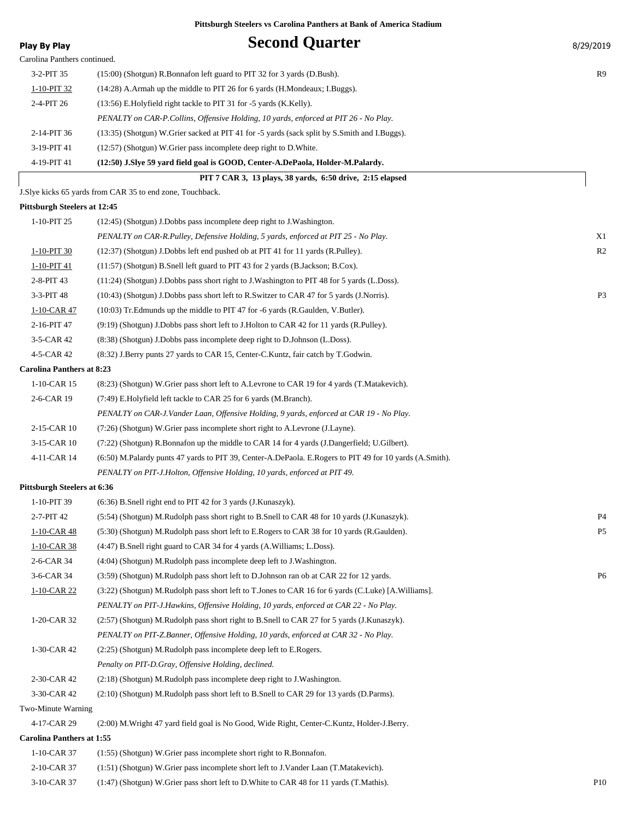|                                    | Tusbul gli steelels vs Carolina I allulers at Dalik of Allierica statium                                |                |
|------------------------------------|---------------------------------------------------------------------------------------------------------|----------------|
| <b>Play By Play</b>                | <b>Second Quarter</b>                                                                                   | 8/29/2019      |
| Carolina Panthers continued.       |                                                                                                         |                |
| 3-2-PIT 35                         | (15:00) (Shotgun) R.Bonnafon left guard to PIT 32 for 3 yards (D.Bush).                                 | R9             |
| 1-10-PIT 32                        | (14:28) A.Armah up the middle to PIT 26 for 6 yards (H.Mondeaux; I.Buggs).                              |                |
| 2-4-PIT 26                         | (13:56) E.Holyfield right tackle to PIT 31 for -5 yards (K.Kelly).                                      |                |
|                                    | PENALTY on CAR-P.Collins, Offensive Holding, 10 yards, enforced at PIT 26 - No Play.                    |                |
| 2-14-PIT 36                        | (13:35) (Shotgun) W.Grier sacked at PIT 41 for -5 yards (sack split by S.Smith and I.Buggs).            |                |
| 3-19-PIT 41                        | (12:57) (Shotgun) W.Grier pass incomplete deep right to D.White.                                        |                |
| 4-19-PIT 41                        | (12:50) J.Slye 59 yard field goal is GOOD, Center-A.DePaola, Holder-M.Palardy.                          |                |
|                                    | PIT 7 CAR 3, 13 plays, 38 yards, 6:50 drive, 2:15 elapsed                                               |                |
|                                    | J.Slye kicks 65 yards from CAR 35 to end zone, Touchback.                                               |                |
| Pittsburgh Steelers at 12:45       |                                                                                                         |                |
| 1-10-PIT 25                        | (12:45) (Shotgun) J.Dobbs pass incomplete deep right to J.Washington.                                   |                |
|                                    | PENALTY on CAR-R.Pulley, Defensive Holding, 5 yards, enforced at PIT 25 - No Play.                      | X1             |
| 1-10-PIT 30                        | (12:37) (Shotgun) J.Dobbs left end pushed ob at PIT 41 for 11 yards (R.Pulley).                         | R <sub>2</sub> |
| 1-10-PIT 41                        | (11:57) (Shotgun) B.Snell left guard to PIT 43 for 2 yards (B.Jackson; B.Cox).                          |                |
| 2-8-PIT 43                         | (11:24) (Shotgun) J.Dobbs pass short right to J.Washington to PIT 48 for 5 yards (L.Doss).              |                |
| 3-3-PIT 48                         | (10:43) (Shotgun) J.Dobbs pass short left to R.Switzer to CAR 47 for 5 yards (J.Norris).                | P <sub>3</sub> |
| 1-10-CAR 47                        | (10:03) Tr. Edmunds up the middle to PIT 47 for -6 yards (R. Gaulden, V. Butler).                       |                |
| 2-16-PIT 47                        | (9:19) (Shotgun) J.Dobbs pass short left to J.Holton to CAR 42 for 11 yards (R.Pulley).                 |                |
| 3-5-CAR 42                         | (8:38) (Shotgun) J.Dobbs pass incomplete deep right to D.Johnson (L.Doss).                              |                |
| 4-5-CAR 42                         | (8.32) J.Berry punts 27 yards to CAR 15, Center-C.Kuntz, fair catch by T.Godwin.                        |                |
| <b>Carolina Panthers at 8:23</b>   |                                                                                                         |                |
| 1-10-CAR 15                        | (8.23) (Shotgun) W. Grier pass short left to A. Levrone to CAR 19 for 4 yards (T. Matakevich).          |                |
| 2-6-CAR 19                         | (7:49) E.Holyfield left tackle to CAR 25 for 6 yards (M.Branch).                                        |                |
|                                    | PENALTY on CAR-J.Vander Laan, Offensive Holding, 9 yards, enforced at CAR 19 - No Play.                 |                |
| 2-15-CAR 10                        | (7:26) (Shotgun) W.Grier pass incomplete short right to A.Levrone (J.Layne).                            |                |
| 3-15-CAR 10                        | (7:22) (Shotgun) R.Bonnafon up the middle to CAR 14 for 4 yards (J.Dangerfield; U.Gilbert).             |                |
| 4-11-CAR 14                        | (6:50) M.Palardy punts 47 yards to PIT 39, Center-A.DePaola. E.Rogers to PIT 49 for 10 yards (A.Smith). |                |
|                                    | PENALTY on PIT-J.Holton, Offensive Holding, 10 yards, enforced at PIT 49.                               |                |
| <b>Pittsburgh Steelers at 6:36</b> |                                                                                                         |                |
| 1-10-PIT 39                        | (6:36) B.Snell right end to PIT 42 for 3 yards (J.Kunaszyk).                                            |                |
| 2-7-PIT 42                         | (5:54) (Shotgun) M.Rudolph pass short right to B.Snell to CAR 48 for 10 yards (J.Kunaszyk).             | P <sub>4</sub> |
| $1-10-CAR$ 48                      | (5:30) (Shotgun) M.Rudolph pass short left to E.Rogers to CAR 38 for 10 yards (R.Gaulden).              | P <sub>5</sub> |
| 1-10-CAR 38                        | (4:47) B.Snell right guard to CAR 34 for 4 yards (A.Williams; L.Doss).                                  |                |
| 2-6-CAR 34                         | (4:04) (Shotgun) M.Rudolph pass incomplete deep left to J.Washington.                                   |                |
| 3-6-CAR 34                         | (3:59) (Shotgun) M.Rudolph pass short left to D.Johnson ran ob at CAR 22 for 12 yards.                  | P <sub>6</sub> |
| $1-10-CAR$ 22                      | (3:22) (Shotgun) M.Rudolph pass short left to T.Jones to CAR 16 for 6 yards (C.Luke) [A.Williams].      |                |
|                                    | PENALTY on PIT-J.Hawkins, Offensive Holding, 10 yards, enforced at CAR 22 - No Play.                    |                |
| 1-20-CAR 32                        | (2:57) (Shotgun) M.Rudolph pass short right to B.Snell to CAR 27 for 5 yards (J.Kunaszyk).              |                |
|                                    | PENALTY on PIT-Z.Banner, Offensive Holding, 10 yards, enforced at CAR 32 - No Play.                     |                |

#### 1-30-CAR 42 (2:25) (Shotgun) M.Rudolph pass incomplete deep left to E.Rogers.

*Penalty on PIT-D.Gray, Offensive Holding, declined.*

2-30-CAR 42 (2:18) (Shotgun) M.Rudolph pass incomplete deep right to J.Washington.

3-30-CAR 42 (2:10) (Shotgun) M.Rudolph pass short left to B.Snell to CAR 29 for 13 yards (D.Parms).

Two-Minute Warning

4-17-CAR 29 (2:00) M.Wright 47 yard field goal is No Good, Wide Right, Center-C.Kuntz, Holder-J.Berry.

#### **Carolina Panthers at 1:55**

| 1-10-CAR 37    | $(1:55)$ (Shotgun) W. Grier pass incomplete short right to R. Bonnafon.                     |     |
|----------------|---------------------------------------------------------------------------------------------|-----|
| $2-10$ -CAR 37 | (1:51) (Shotgun) W.Grier pass incomplete short left to J.Vander Laan (T.Matakevich).        |     |
| 3-10-CAR 37    | $(1:47)$ (Shotgun) W. Grier pass short left to D. White to CAR 48 for 11 yards (T. Mathis). | P10 |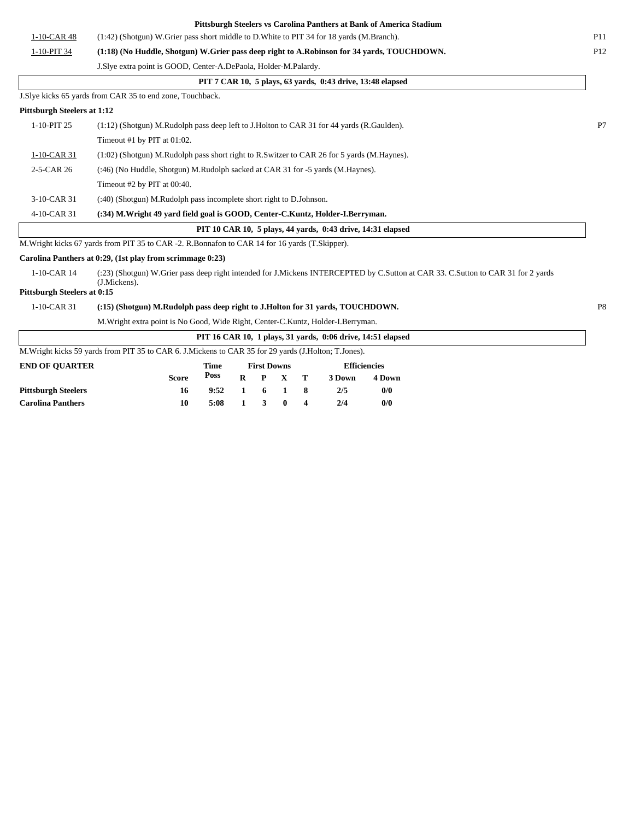|                                    |                                                                                                         |             |              |                    |          |                         |        | Pittsburgh Steelers vs Carolina Panthers at Bank of America Stadium |                                                                                                                                  |                |
|------------------------------------|---------------------------------------------------------------------------------------------------------|-------------|--------------|--------------------|----------|-------------------------|--------|---------------------------------------------------------------------|----------------------------------------------------------------------------------------------------------------------------------|----------------|
| 1-10-CAR 48                        | (1:42) (Shotgun) W.Grier pass short middle to D.White to PIT 34 for 18 yards (M.Branch).                |             |              |                    |          |                         |        |                                                                     |                                                                                                                                  | <b>P11</b>     |
| 1-10-PIT 34                        | (1:18) (No Huddle, Shotgun) W.Grier pass deep right to A.Robinson for 34 yards, TOUCHDOWN.              |             |              |                    |          |                         |        |                                                                     |                                                                                                                                  | P12            |
|                                    | J. Slye extra point is GOOD, Center-A. DePaola, Holder-M. Palardy.                                      |             |              |                    |          |                         |        |                                                                     |                                                                                                                                  |                |
|                                    |                                                                                                         |             |              |                    |          |                         |        | PIT 7 CAR 10, 5 plays, 63 vards, 0:43 drive, 13:48 elapsed          |                                                                                                                                  |                |
|                                    | J.Slye kicks 65 yards from CAR 35 to end zone, Touchback.                                               |             |              |                    |          |                         |        |                                                                     |                                                                                                                                  |                |
| <b>Pittsburgh Steelers at 1:12</b> |                                                                                                         |             |              |                    |          |                         |        |                                                                     |                                                                                                                                  |                |
| 1-10-PIT 25                        | $(1:12)$ (Shotgun) M.Rudolph pass deep left to J.Holton to CAR 31 for 44 yards (R.Gaulden).             |             |              |                    |          |                         |        |                                                                     |                                                                                                                                  | P7             |
|                                    | Timeout #1 by PIT at 01:02.                                                                             |             |              |                    |          |                         |        |                                                                     |                                                                                                                                  |                |
| 1-10-CAR 31                        | (1:02) (Shotgun) M.Rudolph pass short right to R.Switzer to CAR 26 for 5 yards (M.Haynes).              |             |              |                    |          |                         |        |                                                                     |                                                                                                                                  |                |
| 2-5-CAR 26                         | (:46) (No Huddle, Shotgun) M.Rudolph sacked at CAR 31 for -5 yards (M.Haynes).                          |             |              |                    |          |                         |        |                                                                     |                                                                                                                                  |                |
|                                    | Timeout #2 by PIT at 00:40.                                                                             |             |              |                    |          |                         |        |                                                                     |                                                                                                                                  |                |
| 3-10-CAR 31                        | (:40) (Shotgun) M.Rudolph pass incomplete short right to D.Johnson.                                     |             |              |                    |          |                         |        |                                                                     |                                                                                                                                  |                |
| 4-10-CAR 31                        | (:34) M. Wright 49 yard field goal is GOOD, Center-C. Kuntz, Holder-I. Berryman.                        |             |              |                    |          |                         |        |                                                                     |                                                                                                                                  |                |
|                                    |                                                                                                         |             |              |                    |          |                         |        | PIT 10 CAR 10, 5 plays, 44 yards, 0:43 drive, 14:31 elapsed         |                                                                                                                                  |                |
|                                    | M. Wright kicks 67 yards from PIT 35 to CAR -2. R. Bonnafon to CAR 14 for 16 yards (T. Skipper).        |             |              |                    |          |                         |        |                                                                     |                                                                                                                                  |                |
|                                    | Carolina Panthers at 0:29, (1st play from scrimmage 0:23)                                               |             |              |                    |          |                         |        |                                                                     |                                                                                                                                  |                |
| 1-10-CAR 14                        |                                                                                                         |             |              |                    |          |                         |        |                                                                     | (:23) (Shotgun) W.Grier pass deep right intended for J.Mickens INTERCEPTED by C.Sutton at CAR 33. C.Sutton to CAR 31 for 2 yards |                |
| Pittsburgh Steelers at 0:15        | (J.Mickens).                                                                                            |             |              |                    |          |                         |        |                                                                     |                                                                                                                                  |                |
| 1-10-CAR 31                        | (:15) (Shotgun) M.Rudolph pass deep right to J.Holton for 31 yards, TOUCHDOWN.                          |             |              |                    |          |                         |        |                                                                     |                                                                                                                                  | P <sub>8</sub> |
|                                    | M. Wright extra point is No Good, Wide Right, Center-C. Kuntz, Holder-I. Berryman.                      |             |              |                    |          |                         |        |                                                                     |                                                                                                                                  |                |
|                                    |                                                                                                         |             |              |                    |          |                         |        | PIT 16 CAR 10, 1 plays, 31 vards, 0:06 drive, 14:51 elapsed         |                                                                                                                                  |                |
|                                    | M. Wright kicks 59 yards from PIT 35 to CAR 6. J. Mickens to CAR 35 for 29 yards (J. Holton; T. Jones). |             |              |                    |          |                         |        |                                                                     |                                                                                                                                  |                |
| <b>END OF OUARTER</b>              |                                                                                                         | <b>Time</b> |              | <b>First Downs</b> |          |                         |        | <b>Efficiencies</b>                                                 |                                                                                                                                  |                |
|                                    | <b>Score</b>                                                                                            | Poss        | $\bf{R}$     | P                  | X        | Т                       | 3 Down | 4 Down                                                              |                                                                                                                                  |                |
| <b>Pittsburgh Steelers</b>         | 16                                                                                                      | 9:52        | $\mathbf{1}$ | 6                  | 1        | 8                       | 2/5    | 0/0                                                                 |                                                                                                                                  |                |
| <b>Carolina Panthers</b>           | 10                                                                                                      | 5:08        | 1            | 3                  | $\bf{0}$ | $\overline{\mathbf{4}}$ | 2/4    | 0/0                                                                 |                                                                                                                                  |                |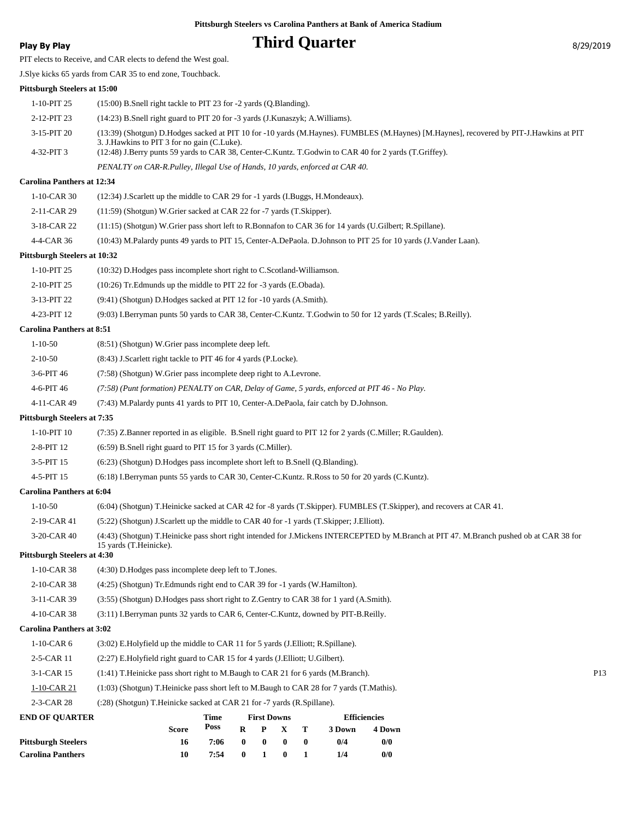## **Play By Play Play Play Play By Play Play By Play B**  $\frac{8}{29/2019}$

PIT elects to Receive, and CAR elects to defend the West goal.

J.Slye kicks 65 yards from CAR 35 to end zone, Touchback.

#### **Pittsburgh Steelers at 15:00**

| <b>Pittsburgh Steelers</b><br><b>Carolina Panthers</b> | 16<br>10                                                                                                                                              | 7:06<br>7:54 | $\bf{0}$<br>$\bf{0}$ | $\bf{0}$<br>$\mathbf{1}$ | $\boldsymbol{0}$<br>$\bf{0}$ | $\bf{0}$<br>1 | 0/4<br>1/4          | 0/0<br>0/0 |                                                                                                                                         |                 |
|--------------------------------------------------------|-------------------------------------------------------------------------------------------------------------------------------------------------------|--------------|----------------------|--------------------------|------------------------------|---------------|---------------------|------------|-----------------------------------------------------------------------------------------------------------------------------------------|-----------------|
|                                                        | Score                                                                                                                                                 | Poss         | $\mathbf R$          | P                        | X                            | T             | 3 Down              | 4 Down     |                                                                                                                                         |                 |
| <b>END OF QUARTER</b>                                  |                                                                                                                                                       | Time         |                      | <b>First Downs</b>       |                              |               | <b>Efficiencies</b> |            |                                                                                                                                         |                 |
| 2-3-CAR 28                                             | (:28) (Shotgun) T.Heinicke sacked at CAR 21 for -7 yards (R.Spillane).                                                                                |              |                      |                          |                              |               |                     |            |                                                                                                                                         |                 |
| $1-10$ -CAR 21                                         | (1:03) (Shotgun) T.Heinicke pass short left to M.Baugh to CAR 28 for 7 yards (T.Mathis).                                                              |              |                      |                          |                              |               |                     |            |                                                                                                                                         |                 |
| 3-1-CAR 15                                             | (1:41) T. Heinicke pass short right to M. Baugh to CAR 21 for 6 yards (M. Branch).                                                                    |              |                      |                          |                              |               |                     |            |                                                                                                                                         | P <sub>13</sub> |
| 2-5-CAR 11                                             | (2:27) E.Holyfield right guard to CAR 15 for 4 yards (J.Elliott; U.Gilbert).                                                                          |              |                      |                          |                              |               |                     |            |                                                                                                                                         |                 |
| $1-10$ -CAR $6$                                        | (3:02) E.Holyfield up the middle to CAR 11 for 5 yards (J.Elliott; R.Spillane).                                                                       |              |                      |                          |                              |               |                     |            |                                                                                                                                         |                 |
| <b>Carolina Panthers at 3:02</b>                       |                                                                                                                                                       |              |                      |                          |                              |               |                     |            |                                                                                                                                         |                 |
| 4-10-CAR 38                                            | (3:11) I.Berryman punts 32 yards to CAR 6, Center-C.Kuntz, downed by PIT-B.Reilly.                                                                    |              |                      |                          |                              |               |                     |            |                                                                                                                                         |                 |
| 3-11-CAR 39                                            | (3:55) (Shotgun) D.Hodges pass short right to Z.Gentry to CAR 38 for 1 yard (A.Smith).                                                                |              |                      |                          |                              |               |                     |            |                                                                                                                                         |                 |
| 2-10-CAR 38                                            | (4:25) (Shotgun) Tr. Edmunds right end to CAR 39 for -1 yards (W. Hamilton).                                                                          |              |                      |                          |                              |               |                     |            |                                                                                                                                         |                 |
| $1-10$ -CAR 38                                         | (4:30) D. Hodges pass incomplete deep left to T. Jones.                                                                                               |              |                      |                          |                              |               |                     |            |                                                                                                                                         |                 |
| <b>Pittsburgh Steelers at 4:30</b>                     | 15 yards (T.Heinicke).                                                                                                                                |              |                      |                          |                              |               |                     |            |                                                                                                                                         |                 |
| 3-20-CAR 40                                            |                                                                                                                                                       |              |                      |                          |                              |               |                     |            | (4:43) (Shotgun) T.Heinicke pass short right intended for J.Mickens INTERCEPTED by M.Branch at PIT 47. M.Branch pushed ob at CAR 38 for |                 |
| 2-19-CAR 41                                            | (5:22) (Shotgun) J.Scarlett up the middle to CAR 40 for -1 yards (T.Skipper; J.Elliott).                                                              |              |                      |                          |                              |               |                     |            |                                                                                                                                         |                 |
| $1 - 10 - 50$                                          | (6:04) (Shotgun) T.Heinicke sacked at CAR 42 for -8 yards (T.Skipper). FUMBLES (T.Skipper), and recovers at CAR 41.                                   |              |                      |                          |                              |               |                     |            |                                                                                                                                         |                 |
| <b>Carolina Panthers at 6:04</b>                       |                                                                                                                                                       |              |                      |                          |                              |               |                     |            |                                                                                                                                         |                 |
| 4-5-PIT 15                                             | (6:18) I.Berryman punts 55 yards to CAR 30, Center-C.Kuntz. R.Ross to 50 for 20 yards (C.Kuntz).                                                      |              |                      |                          |                              |               |                     |            |                                                                                                                                         |                 |
| 3-5-PIT 15                                             | (6:23) (Shotgun) D.Hodges pass incomplete short left to B.Snell (Q.Blanding).                                                                         |              |                      |                          |                              |               |                     |            |                                                                                                                                         |                 |
| 2-8-PIT 12                                             | (6:59) B.Snell right guard to PIT 15 for 3 yards (C.Miller).                                                                                          |              |                      |                          |                              |               |                     |            |                                                                                                                                         |                 |
| 1-10-PIT 10                                            | (7:35) Z.Banner reported in as eligible. B.Snell right guard to PIT 12 for 2 yards (C.Miller; R.Gaulden).                                             |              |                      |                          |                              |               |                     |            |                                                                                                                                         |                 |
| <b>Pittsburgh Steelers at 7:35</b>                     |                                                                                                                                                       |              |                      |                          |                              |               |                     |            |                                                                                                                                         |                 |
| 4-11-CAR 49                                            | (7:43) M.Palardy punts 41 yards to PIT 10, Center-A.DePaola, fair catch by D.Johnson.                                                                 |              |                      |                          |                              |               |                     |            |                                                                                                                                         |                 |
| 4-6-PIT 46                                             | (7:58) (Punt formation) PENALTY on CAR, Delay of Game, 5 yards, enforced at PIT 46 - No Play.                                                         |              |                      |                          |                              |               |                     |            |                                                                                                                                         |                 |
| 3-6-PIT 46                                             | (7:58) (Shotgun) W.Grier pass incomplete deep right to A.Levrone.                                                                                     |              |                      |                          |                              |               |                     |            |                                                                                                                                         |                 |
| $2 - 10 - 50$                                          | (8:43) J.Scarlett right tackle to PIT 46 for 4 yards (P.Locke).                                                                                       |              |                      |                          |                              |               |                     |            |                                                                                                                                         |                 |
| $1 - 10 - 50$                                          | (8:51) (Shotgun) W.Grier pass incomplete deep left.                                                                                                   |              |                      |                          |                              |               |                     |            |                                                                                                                                         |                 |
| <b>Carolina Panthers at 8:51</b>                       |                                                                                                                                                       |              |                      |                          |                              |               |                     |            |                                                                                                                                         |                 |
| 4-23-PIT 12                                            | (9:03) I.Berryman punts 50 yards to CAR 38, Center-C.Kuntz. T.Godwin to 50 for 12 yards (T.Scales; B.Reilly).                                         |              |                      |                          |                              |               |                     |            |                                                                                                                                         |                 |
| 3-13-PIT 22                                            | (9:41) (Shotgun) D.Hodges sacked at PIT 12 for -10 yards (A.Smith).                                                                                   |              |                      |                          |                              |               |                     |            |                                                                                                                                         |                 |
| 2-10-PIT 25                                            | (10:26) Tr. Edmunds up the middle to PIT 22 for -3 yards (E. Obada).                                                                                  |              |                      |                          |                              |               |                     |            |                                                                                                                                         |                 |
| 1-10-PIT 25                                            | (10:32) D. Hodges pass incomplete short right to C. Scotland-Williamson.                                                                              |              |                      |                          |                              |               |                     |            |                                                                                                                                         |                 |
| <b>Pittsburgh Steelers at 10:32</b>                    |                                                                                                                                                       |              |                      |                          |                              |               |                     |            |                                                                                                                                         |                 |
| 4-4-CAR 36                                             | (10:43) M.Palardy punts 49 yards to PIT 15, Center-A.DePaola. D.Johnson to PIT 25 for 10 yards (J.Vander Laan).                                       |              |                      |                          |                              |               |                     |            |                                                                                                                                         |                 |
| 3-18-CAR 22                                            | (11:15) (Shotgun) W.Grier pass short left to R.Bonnafon to CAR 36 for 14 yards (U.Gilbert; R.Spillane).                                               |              |                      |                          |                              |               |                     |            |                                                                                                                                         |                 |
| 2-11-CAR 29                                            | (11:59) (Shotgun) W.Grier sacked at CAR 22 for -7 yards (T.Skipper).                                                                                  |              |                      |                          |                              |               |                     |            |                                                                                                                                         |                 |
| $1-10-CAR30$                                           | (12:34) J.Scarlett up the middle to CAR 29 for -1 yards (I.Buggs, H.Mondeaux).                                                                        |              |                      |                          |                              |               |                     |            |                                                                                                                                         |                 |
| <b>Carolina Panthers at 12:34</b>                      |                                                                                                                                                       |              |                      |                          |                              |               |                     |            |                                                                                                                                         |                 |
|                                                        | PENALTY on CAR-R.Pulley, Illegal Use of Hands, 10 yards, enforced at CAR 40.                                                                          |              |                      |                          |                              |               |                     |            |                                                                                                                                         |                 |
| 3-15-PIT 20<br>4-32-PIT 3                              | 3. J. Hawkins to PIT 3 for no gain (C.Luke).<br>(12:48) J.Berry punts 59 yards to CAR 38, Center-C.Kuntz. T.Godwin to CAR 40 for 2 yards (T.Griffey). |              |                      |                          |                              |               |                     |            | (13:39) (Shotgun) D.Hodges sacked at PIT 10 for -10 yards (M.Haynes). FUMBLES (M.Haynes) [M.Haynes], recovered by PIT-J.Hawkins at PIT  |                 |
| 2-12-PIT 23                                            | (14:23) B.Snell right guard to PIT 20 for -3 yards (J.Kunaszyk; A.Williams).                                                                          |              |                      |                          |                              |               |                     |            |                                                                                                                                         |                 |
| 1-10-PIT 25                                            | $(15:00)$ B. Snell right tackle to PIT 23 for -2 yards $(Q. Blanding)$ .                                                                              |              |                      |                          |                              |               |                     |            |                                                                                                                                         |                 |
| 1 IUSUUI 211 SICCICIS AL 15.00                         |                                                                                                                                                       |              |                      |                          |                              |               |                     |            |                                                                                                                                         |                 |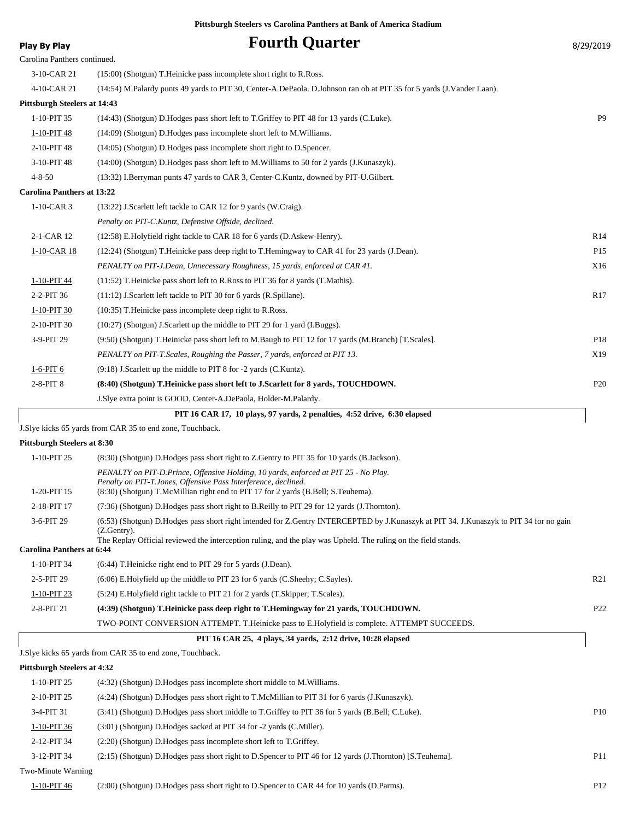#### **Play By Play Play Play Play Fourth Quarter B**/29/2019 Carolina Panthers continued. 3-10-CAR 21 (15:00) (Shotgun) T.Heinicke pass incomplete short right to R.Ross. 4-10-CAR 21 (14:54) M.Palardy punts 49 yards to PIT 30, Center-A.DePaola. D.Johnson ran ob at PIT 35 for 5 yards (J.Vander Laan). **Pittsburgh Steelers at 14:43** 1-10-PIT 35 (14:43) (Shotgun) D.Hodges pass short left to T.Griffey to PIT 48 for 13 yards (C.Luke). P9 1-10-PIT 48 (14:09) (Shotgun) D.Hodges pass incomplete short left to M.Williams. 2-10-PIT 48 (14:05) (Shotgun) D.Hodges pass incomplete short right to D.Spencer. 3-10-PIT 48 (14:00) (Shotgun) D.Hodges pass short left to M.Williams to 50 for 2 yards (J.Kunaszyk). 4-8-50 (13:32) I.Berryman punts 47 yards to CAR 3, Center-C.Kuntz, downed by PIT-U.Gilbert. **Carolina Panthers at 13:22** 1-10-CAR 3 (13:22) J.Scarlett left tackle to CAR 12 for 9 yards (W.Craig). *Penalty on PIT-C.Kuntz, Defensive Offside, declined.* 2-1-CAR 12 (12:58) E.Holyfield right tackle to CAR 18 for 6 yards (D.Askew-Henry). R14 1-10-CAR 18 (12:24) (Shotgun) T.Heinicke pass deep right to T.Hemingway to CAR 41 for 23 yards (J.Dean). P15 *PENALTY on PIT-J.Dean, Unnecessary Roughness, 15 yards, enforced at CAR 41.* X16 1-10-PIT 44 (11:52) T.Heinicke pass short left to R.Ross to PIT 36 for 8 yards (T.Mathis). 2-2-PIT 36 (11:12) J.Scarlett left tackle to PIT 30 for 6 yards (R.Spillane). R17 1-10-PIT 30 (10:35) T. Heinicke pass incomplete deep right to R.Ross. 2-10-PIT 30 (10:27) (Shotgun) J.Scarlett up the middle to PIT 29 for 1 yard (I.Buggs). 3-9-PIT 29 (9:50) (Shotgun) T.Heinicke pass short left to M.Baugh to PIT 12 for 17 yards (M.Branch) [T.Scales]. P18 *PENALTY on PIT-T.Scales, Roughing the Passer, 7 yards, enforced at PIT 13.* X19 1-6-PIT 6 (9:18) J.Scarlett up the middle to PIT 8 for -2 yards (C.Kuntz). 2-8-PIT 8 **(8:40) (Shotgun) T.Heinicke pass short left to J.Scarlett for 8 yards, TOUCHDOWN.** P20 J.Slye extra point is GOOD, Center-A.DePaola, Holder-M.Palardy.

|  | PIT 16 CAR 17, 10 plays, 97 yards, 2 penalties, 4:52 drive, 6:30 elapsed |  |
|--|--------------------------------------------------------------------------|--|
|  |                                                                          |  |

J.Slye kicks 65 yards from CAR 35 to end zone, Touchback.

#### **Pittsburgh Steelers at 8:30**

| $1-10-PIT$ 25                    | (8.30) (Shotgun) D. Hodges pass short right to Z. Gentry to PIT 35 for 10 yards (B. Jackson).                                                                                                                                                                              |                 |
|----------------------------------|----------------------------------------------------------------------------------------------------------------------------------------------------------------------------------------------------------------------------------------------------------------------------|-----------------|
| 1-20-PIT 15                      | PENALTY on PIT-D.Prince, Offensive Holding, 10 yards, enforced at PIT 25 - No Play.<br>Penalty on PIT-T.Jones, Offensive Pass Interference, declined.<br>(8.30) (Shotgun) T.McMillian right end to PIT 17 for 2 yards (B.Bell; S.Teuhema).                                 |                 |
| 2-18-PIT 17                      | (7:36) (Shotgun) D.Hodges pass short right to B.Reilly to PIT 29 for 12 yards (J.Thornton).                                                                                                                                                                                |                 |
| 3-6-PIT 29                       | (6:53) (Shotgun) D.Hodges pass short right intended for Z.Gentry INTERCEPTED by J.Kunaszyk at PIT 34. J.Kunaszyk to PIT 34 for no gain<br>$(Z.Gentry)$ .<br>The Replay Official reviewed the interception ruling, and the play was Upheld. The ruling on the field stands. |                 |
| <b>Carolina Panthers at 6:44</b> |                                                                                                                                                                                                                                                                            |                 |
| 1-10-PIT 34                      | $(6:44)$ T. Heinicke right end to PIT 29 for 5 yards (J. Dean).                                                                                                                                                                                                            |                 |
| 2-5-PIT 29                       | (6:06) E.Holyfield up the middle to PIT 23 for 6 yards (C.Sheehy; C.Sayles).                                                                                                                                                                                               | R <sub>21</sub> |
| 1-10-PIT 23                      | (5:24) E. Holyfield right tackle to PIT 21 for 2 yards (T. Skipper; T. Scales).                                                                                                                                                                                            |                 |
| 2-8-PIT 21                       | (4:39) (Shotgun) T. Heinicke pass deep right to T. Hemingway for 21 yards, TOUCHDOWN.                                                                                                                                                                                      | P <sub>22</sub> |
|                                  | TWO-POINT CONVERSION ATTEMPT. T. Heinicke pass to E. Holyfield is complete. ATTEMPT SUCCEEDS.                                                                                                                                                                              |                 |

#### **PIT 16 CAR 25, 4 plays, 34 yards, 2:12 drive, 10:28 elapsed**

J.Slye kicks 65 yards from CAR 35 to end zone, Touchback.

#### **Pittsburgh Steelers at 4:32**

| $1-10-PIT$ 25      | (4:32) (Shotgun) D. Hodges pass incomplete short middle to M. Williams.                                  |                 |
|--------------------|----------------------------------------------------------------------------------------------------------|-----------------|
| 2-10-PIT 25        | (4:24) (Shotgun) D. Hodges pass short right to T. McMillian to PIT 31 for 6 yards (J. Kunaszyk).         |                 |
| $3-4-PIT$ 31       | (3:41) (Shotgun) D.Hodges pass short middle to T.Griffey to PIT 36 for 5 yards (B.Bell; C.Luke).         | P10             |
| 1-10-PIT 36        | (3:01) (Shotgun) D.Hodges sacked at PIT 34 for -2 yards (C.Miller).                                      |                 |
| 2-12-PIT 34        | $(2:20)$ (Shotgun) D. Hodges pass incomplete short left to T. Griffey.                                   |                 |
| 3-12-PIT 34        | (2:15) (Shotgun) D.Hodges pass short right to D.Spencer to PIT 46 for 12 yards (J.Thornton) [S.Teuhema]. | P <sub>11</sub> |
| Two-Minute Warning |                                                                                                          |                 |
| 1-10-PIT 46        | (2:00) (Shotgun) D.Hodges pass short right to D.Spencer to CAR 44 for 10 yards (D.Parms).                | P <sub>12</sub> |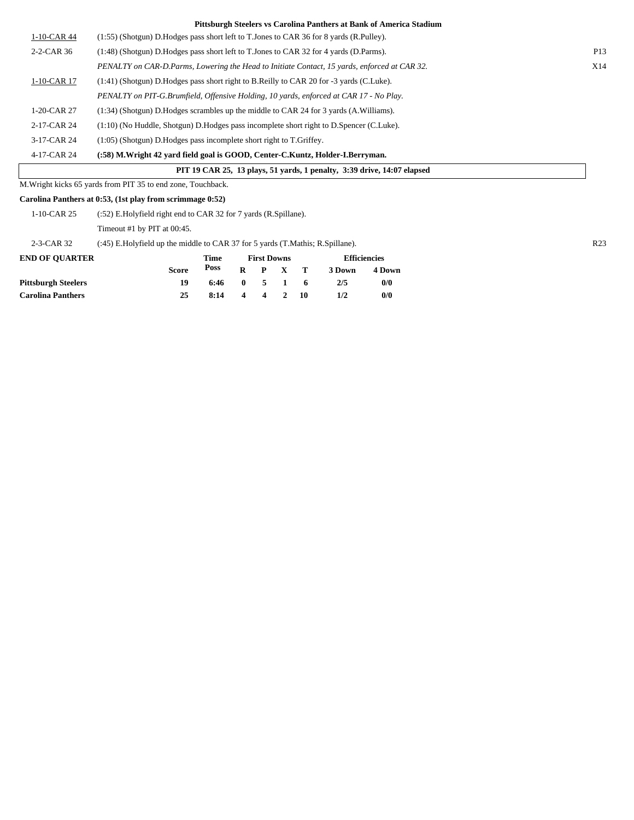|                | Pittsburgh Steelers vs Carolina Panthers at Bank of America Stadium                          |                 |
|----------------|----------------------------------------------------------------------------------------------|-----------------|
| $1-10$ -CAR 44 | (1:55) (Shotgun) D.Hodges pass short left to T.Jones to CAR 36 for 8 yards (R.Pulley).       |                 |
| 2-2-CAR 36     | (1:48) (Shotgun) D.Hodges pass short left to T.Jones to CAR 32 for 4 yards (D.Parms).        | P <sub>13</sub> |
|                | PENALTY on CAR-D.Parms, Lowering the Head to Initiate Contact, 15 yards, enforced at CAR 32. | X14             |
| $1-10$ -CAR 17 | (1:41) (Shotgun) D. Hodges pass short right to B. Reilly to CAR 20 for -3 yards (C. Luke).   |                 |
|                | PENALTY on PIT-G.Brumfield, Offensive Holding, 10 yards, enforced at CAR 17 - No Play.       |                 |
| $1-20$ -CAR 27 | $(1:34)$ (Shotgun) D. Hodges scrambles up the middle to CAR 24 for 3 yards (A. Williams).    |                 |
| 2-17-CAR 24    | $(1:10)$ (No Huddle, Shotgun) D. Hodges pass incomplete short right to D. Spencer (C. Luke). |                 |
| 3-17-CAR 24    | $(1:05)$ (Shotgun) D. Hodges pass incomplete short right to T. Griffey.                      |                 |
| 4-17-CAR 24    | (:58) M.Wright 42 yard field goal is GOOD, Center-C.Kuntz, Holder-I.Berryman.                |                 |
|                | PIT 19 CAR 25, 13 plays, 51 yards, 1 penalty, 3:39 drive, 14:07 elapsed                      |                 |

M.Wright kicks 65 yards from PIT 35 to end zone, Touchback.

**Carolina Panthers at 0:53, (1st play from scrimmage 0:52)**

| $1-10$ -CAR 25             | (:52) E.Holyfield right end to CAR 32 for 7 yards (R.Spillane).                  |      |              |   |              |        |        |
|----------------------------|----------------------------------------------------------------------------------|------|--------------|---|--------------|--------|--------|
|                            | Timeout #1 by PIT at $00:45$ .                                                   |      |              |   |              |        |        |
| 2-3-CAR 32                 | (:45) E. Holyfield up the middle to CAR 37 for 5 yards (T. Mathis; R. Spillane). |      |              |   |              |        |        |
| <b>END OF OUARTER</b>      | <b>Efficiencies</b><br>Time<br><b>First Downs</b>                                |      |              |   |              |        |        |
|                            | <b>Score</b>                                                                     | Poss | R            | P | - Т          | 3 Down | 4 Down |
| <b>Pittsburgh Steelers</b> | 19                                                                               | 6:46 | $\mathbf{0}$ |   | $\mathbf{v}$ | 2/5    | 0/0    |
| <b>Carolina Panthers</b>   | 25                                                                               | 8:14 | 4            |   | 10           | 1/2    | 0/0    |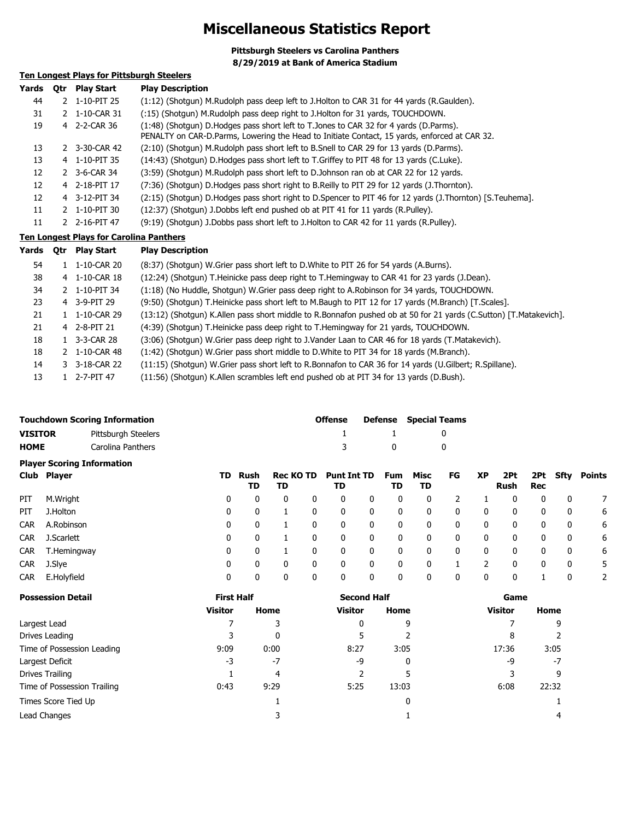## **Miscellaneous Statistics Report**

**Pittsburgh Steelers vs Carolina Panthers 8/29/2019 at Bank of America Stadium**

#### **Ten Longest Plays for Pittsburgh Steelers**

| Yards | 0tr | Play Start               | <b>Play Description</b>                                                                                                                                                                  |
|-------|-----|--------------------------|------------------------------------------------------------------------------------------------------------------------------------------------------------------------------------------|
| 44    |     | 2 1-10-PIT 25            | (1:12) (Shotgun) M.Rudolph pass deep left to J.Holton to CAR 31 for 44 yards (R.Gaulden).                                                                                                |
| 31    |     | 2 1-10-CAR 31            | (:15) (Shotgun) M.Rudolph pass deep right to J.Holton for 31 yards, TOUCHDOWN.                                                                                                           |
| 19    |     | 4 2-2-CAR 36             | (1:48) (Shotgun) D. Hodges pass short left to T. Jones to CAR 32 for 4 yards (D. Parms).<br>PENALTY on CAR-D.Parms, Lowering the Head to Initiate Contact, 15 yards, enforced at CAR 32. |
| 13    |     | 2 3-30-CAR 42            | (2:10) (Shotgun) M.Rudolph pass short left to B.Snell to CAR 29 for 13 yards (D.Parms).                                                                                                  |
| 13    | 4   | 1-10-PIT 35              | (14:43) (Shotgun) D.Hodges pass short left to T.Griffey to PIT 48 for 13 yards (C.Luke).                                                                                                 |
| 12    |     | 2 3-6-CAR 34             | (3:59) (Shotgun) M.Rudolph pass short left to D.Johnson ran ob at CAR 22 for 12 yards.                                                                                                   |
| 12    |     | 4 2-18-PIT 17            | (7:36) (Shotgun) D.Hodges pass short right to B.Reilly to PIT 29 for 12 yards (J.Thornton).                                                                                              |
| 12    |     | 4 3-12-PIT 34            | (2:15) (Shotgun) D.Hodges pass short right to D.Spencer to PIT 46 for 12 yards (J.Thornton) [S.Teuhema].                                                                                 |
| 11    |     | $2 \quad 1 - 10 - PIT30$ | (12:37) (Shotgun) J.Dobbs left end pushed ob at PIT 41 for 11 yards (R.Pulley).                                                                                                          |
| 11    |     | 2 2-16-PIT 47            | (9:19) (Shotgun) J.Dobbs pass short left to J.Holton to CAR 42 for 11 yards (R.Pulley).                                                                                                  |

#### **Ten Longest Plays for Carolina Panthers**

| Yards | 0tr | <b>Play Start</b>        | <b>Play Description</b>                                                                                           |
|-------|-----|--------------------------|-------------------------------------------------------------------------------------------------------------------|
| 54    |     | 1 1-10-CAR 20            | (8:37) (Shotgun) W.Grier pass short left to D.White to PIT 26 for 54 yards (A.Burns).                             |
| 38    |     | 4 1-10-CAR 18            | (12:24) (Shotgun) T. Heinicke pass deep right to T. Hemingway to CAR 41 for 23 yards (J. Dean).                   |
| 34    |     | 2 1-10-PIT 34            | (1:18) (No Huddle, Shotgun) W.Grier pass deep right to A.Robinson for 34 yards, TOUCHDOWN.                        |
| 23    |     | 4 3-9-PIT 29             | (9:50) (Shotgun) T.Heinicke pass short left to M.Baugh to PIT 12 for 17 yards (M.Branch) [T.Scales].              |
| 21    |     | 1 1-10-CAR 29            | (13:12) (Shotgun) K.Allen pass short middle to R.Bonnafon pushed ob at 50 for 21 yards (C.Sutton) [T.Matakevich]. |
| 21    |     | 4 2-8-PIT 21             | (4:39) (Shotgun) T. Heinicke pass deep right to T. Hemingway for 21 yards, TOUCHDOWN.                             |
| 18    |     | 1 3-3-CAR 28             | (3:06) (Shotgun) W.Grier pass deep right to J.Vander Laan to CAR 46 for 18 yards (T.Matakevich).                  |
| 18    |     | 2 1-10-CAR 48            | (1:42) (Shotgun) W.Grier pass short middle to D.White to PIT 34 for 18 yards (M.Branch).                          |
| 14    |     | 3 3-18-CAR 22            | (11:15) (Shotqun) W.Grier pass short left to R.Bonnafon to CAR 36 for 14 yards (U.Gilbert; R.Spillane).           |
| 13    |     | $1 \quad 2 - 7 - PIT 47$ | (11:56) (Shotgun) K.Allen scrambles left end pushed ob at PIT 34 for 13 yards (D.Bush).                           |

|             | <b>Touchdown Scoring Information</b> | <b>Offense</b> |                                           | <b>Defense</b> Special Teams |  |  |
|-------------|--------------------------------------|----------------|-------------------------------------------|------------------------------|--|--|
| VISITOR     | Pittsburgh Steelers                  |                | $\sim$ $\sim$ $\sim$ $\sim$ $\sim$ $\sim$ |                              |  |  |
| <b>HOME</b> | Carolina Panthers                    |                | $\mathbf{0}$                              |                              |  |  |

|            | <b>Player Scoring Information</b> |     |            |                        |                          |   |           |            |    |    |             |            |              |        |
|------------|-----------------------------------|-----|------------|------------------------|--------------------------|---|-----------|------------|----|----|-------------|------------|--------------|--------|
|            | Club Player                       | TD. | Rush<br>TD | <b>Rec KO TD</b><br>TD | <b>Punt Int TD</b><br>TD |   | Fum<br>TD | Misc<br>TD | FG | XP | 2Pt<br>Rush | 2Pt<br>Rec | Sfty         | Points |
| PIT        | M.Wright                          | 0   | 0          |                        |                          | 0 | 0         | 0          |    |    |             |            | 0            |        |
| PIT        | J.Holton                          | 0   | 0          |                        | 0                        | 0 | 0         | 0          | 0  | 0  | 0           | 0          | 0            | 6      |
| <b>CAR</b> | A.Robinson                        | 0   | 0          |                        | 0                        | 0 | 0         | 0          | 0  | 0  | 0           | 0          | $\mathbf{0}$ | 6      |
| <b>CAR</b> | J.Scarlett                        | 0   | 0          |                        | 0                        | 0 | 0         | 0          | 0  | 0  | 0           | 0          | 0            | 6      |
| <b>CAR</b> | T.Hemingway                       | 0   | 0          |                        | 0                        | 0 | 0         | 0          | 0  | 0  | 0           | 0          | $\mathbf{0}$ | 6      |
| <b>CAR</b> | J.Slye                            | 0   | 0          |                        | 0                        | 0 | 0         | 0          |    |    |             |            | 0            | 5      |
| <b>CAR</b> | E.Holyfield                       | 0   | 0          |                        |                          | 0 | 0         | 0          | 0  |    |             |            | 0            |        |

| <b>Possession Detail</b>    | <b>First Half</b> |      | <b>Second Half</b> |       | Game           |       |  |
|-----------------------------|-------------------|------|--------------------|-------|----------------|-------|--|
|                             | Visitor           | Home | <b>Visitor</b>     | Home  | <b>Visitor</b> | Home  |  |
| Largest Lead                |                   | 3    | 0                  | q     |                | 9     |  |
| Drives Leading              |                   | 0    |                    |       | 8              |       |  |
| Time of Possession Leading  | 9:09              | 0:00 | 8:27               | 3:05  | 17:36          | 3:05  |  |
| Largest Deficit             | -3                | $-7$ | -9                 | 0     | -9             | -7    |  |
| Drives Trailing             |                   | 4    |                    |       |                | 9     |  |
| Time of Possession Trailing | 0:43              | 9:29 | 5:25               | 13:03 | 6:08           | 22:32 |  |
| Times Score Tied Up         |                   |      |                    |       |                |       |  |
| Lead Changes                |                   |      |                    |       |                |       |  |